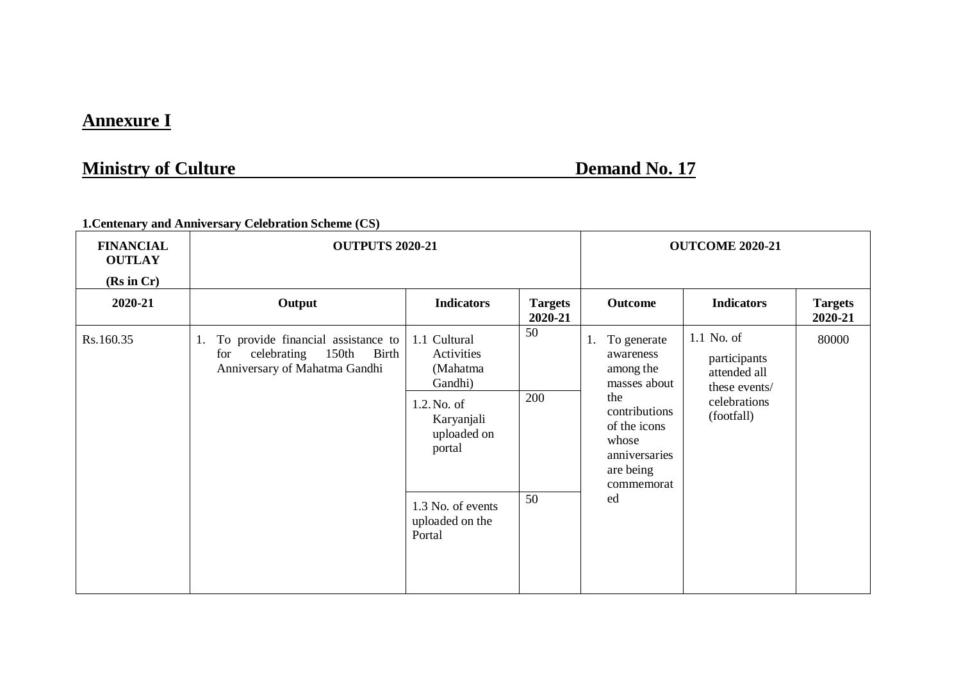## **Annexure I**

## **Ministry of Culture Demand No. 17**

**1.Centenary and Anniversary Celebration Scheme (CS)**

| <b>FINANCIAL</b><br><b>OUTLAY</b><br>(Rs in Cr) | <b>OUTPUTS 2020-21</b>                                                                                            |                                                                                                         | <b>OUTCOME 2020-21</b>    |                                                                                                                                            |                                                                                           |                           |
|-------------------------------------------------|-------------------------------------------------------------------------------------------------------------------|---------------------------------------------------------------------------------------------------------|---------------------------|--------------------------------------------------------------------------------------------------------------------------------------------|-------------------------------------------------------------------------------------------|---------------------------|
| 2020-21                                         | Output                                                                                                            | <b>Indicators</b>                                                                                       | <b>Targets</b><br>2020-21 | Outcome                                                                                                                                    | <b>Indicators</b>                                                                         | <b>Targets</b><br>2020-21 |
| Rs.160.35                                       | To provide financial assistance to<br>1.<br>150th<br>for<br>celebrating<br>Birth<br>Anniversary of Mahatma Gandhi | 1.1 Cultural<br>Activities<br>(Mahatma<br>Gandhi)<br>1.2. No. of<br>Karyanjali<br>uploaded on<br>portal | 50<br>200                 | To generate<br>1.<br>awareness<br>among the<br>masses about<br>the<br>contributions<br>of the icons<br>whose<br>anniversaries<br>are being | 1.1 No. of<br>participants<br>attended all<br>these events/<br>celebrations<br>(footfall) | 80000                     |
|                                                 |                                                                                                                   | 1.3 No. of events<br>uploaded on the<br>Portal                                                          | 50                        | ed                                                                                                                                         |                                                                                           |                           |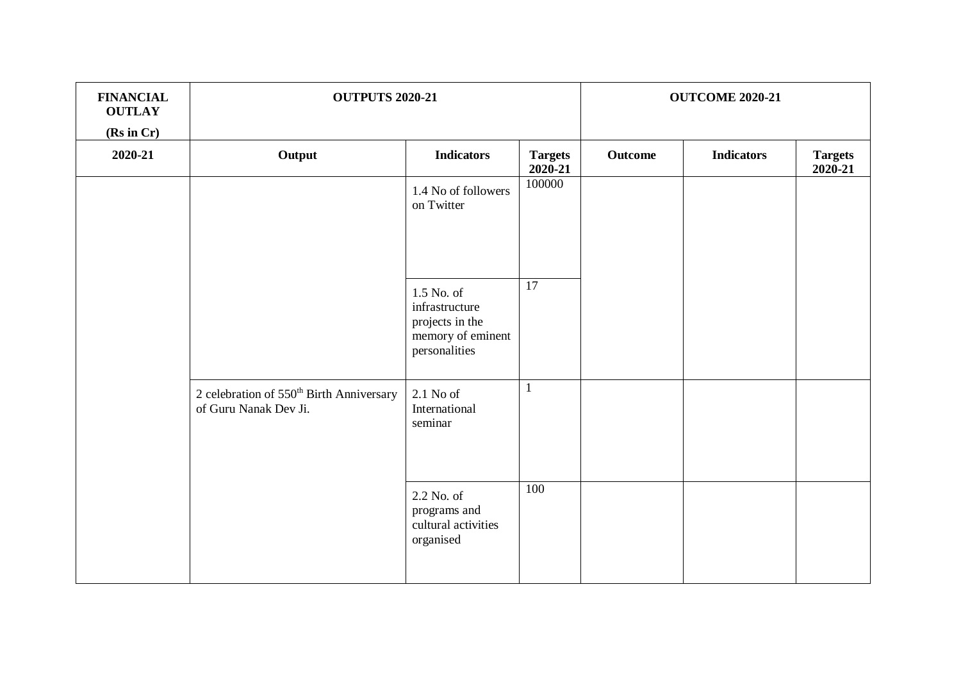| <b>FINANCIAL</b><br><b>OUTLAY</b><br>(Rs in Cr) | <b>OUTPUTS 2020-21</b>                                                        |                                                                                       |                           | <b>OUTCOME 2020-21</b> |                   |                           |
|-------------------------------------------------|-------------------------------------------------------------------------------|---------------------------------------------------------------------------------------|---------------------------|------------------------|-------------------|---------------------------|
| 2020-21                                         | Output                                                                        | <b>Indicators</b>                                                                     | <b>Targets</b><br>2020-21 | Outcome                | <b>Indicators</b> | <b>Targets</b><br>2020-21 |
|                                                 |                                                                               | 1.4 No of followers<br>on Twitter                                                     | 100000                    |                        |                   |                           |
|                                                 |                                                                               | 1.5 No. of<br>infrastructure<br>projects in the<br>memory of eminent<br>personalities | 17                        |                        |                   |                           |
|                                                 | 2 celebration of 550 <sup>th</sup> Birth Anniversary<br>of Guru Nanak Dev Ji. | $2.1$ No of<br>International<br>seminar                                               | 1                         |                        |                   |                           |
|                                                 |                                                                               | 2.2 No. of<br>programs and<br>cultural activities<br>organised                        | 100                       |                        |                   |                           |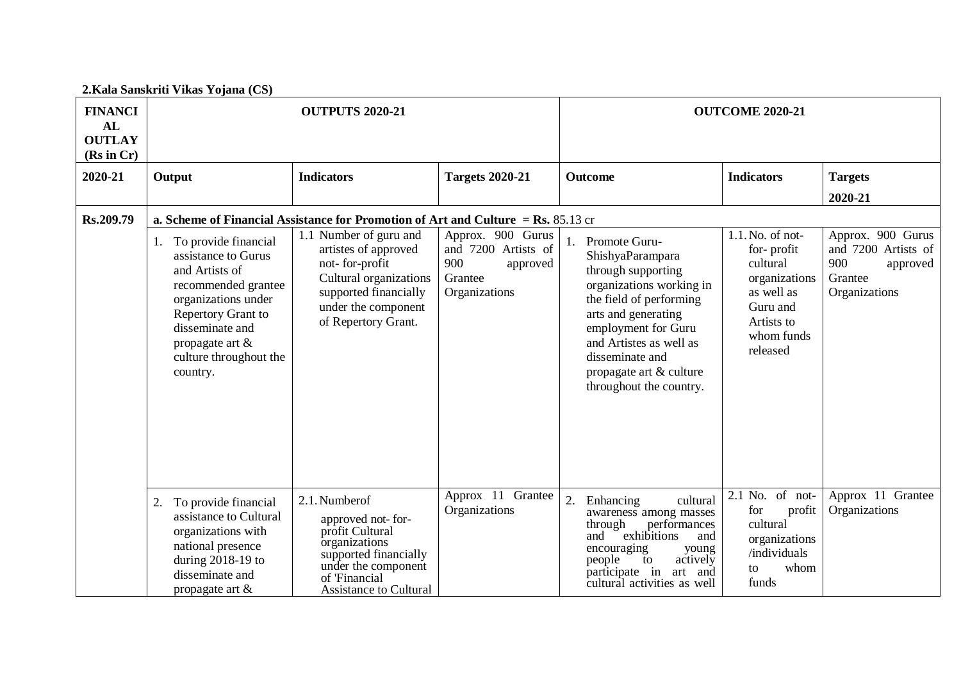## **2.Kala Sanskriti Vikas Yojana (CS)**

| <b>FINANCI</b><br>AL<br><b>OUTLAY</b><br>(Rs in Cr) |                                                                                                                                                                                                                     | <b>OUTPUTS 2020-21</b>                                                                                                                                                    |                                                                                         |                                                                                                                                                                                                                                                                     | <b>OUTCOME 2020-21</b>                                                                                                           |                                                                                         |  |
|-----------------------------------------------------|---------------------------------------------------------------------------------------------------------------------------------------------------------------------------------------------------------------------|---------------------------------------------------------------------------------------------------------------------------------------------------------------------------|-----------------------------------------------------------------------------------------|---------------------------------------------------------------------------------------------------------------------------------------------------------------------------------------------------------------------------------------------------------------------|----------------------------------------------------------------------------------------------------------------------------------|-----------------------------------------------------------------------------------------|--|
| 2020-21                                             | Output                                                                                                                                                                                                              | <b>Indicators</b>                                                                                                                                                         | <b>Targets 2020-21</b>                                                                  | Outcome                                                                                                                                                                                                                                                             | <b>Indicators</b>                                                                                                                | <b>Targets</b>                                                                          |  |
|                                                     |                                                                                                                                                                                                                     |                                                                                                                                                                           |                                                                                         |                                                                                                                                                                                                                                                                     |                                                                                                                                  | 2020-21                                                                                 |  |
| Rs.209.79                                           | a. Scheme of Financial Assistance for Promotion of Art and Culture = Rs. $85.13$ cr                                                                                                                                 |                                                                                                                                                                           |                                                                                         |                                                                                                                                                                                                                                                                     |                                                                                                                                  |                                                                                         |  |
|                                                     | To provide financial<br>1.<br>assistance to Gurus<br>and Artists of<br>recommended grantee<br>organizations under<br>Repertory Grant to<br>disseminate and<br>propagate art &<br>culture throughout the<br>country. | 1.1 Number of guru and<br>artistes of approved<br>not-for-profit<br>Cultural organizations<br>supported financially<br>under the component<br>of Repertory Grant.         | Approx. 900 Gurus<br>and 7200 Artists of<br>900<br>approved<br>Grantee<br>Organizations | 1. Promote Guru-<br>ShishyaParampara<br>through supporting<br>organizations working in<br>the field of performing<br>arts and generating<br>employment for Guru<br>and Artistes as well as<br>disseminate and<br>propagate art & culture<br>throughout the country. | $1.1$ . No. of not-<br>for-profit<br>cultural<br>organizations<br>as well as<br>Guru and<br>Artists to<br>whom funds<br>released | Approx. 900 Gurus<br>and 7200 Artists of<br>900<br>approved<br>Grantee<br>Organizations |  |
|                                                     | To provide financial<br>2.<br>assistance to Cultural<br>organizations with<br>national presence<br>during 2018-19 to<br>disseminate and<br>propagate art $\&$                                                       | 2.1. Number of<br>approved not-for-<br>profit Cultural<br>organizations<br>supported financially<br>under the component<br>of 'Financial<br><b>Assistance to Cultural</b> | Approx 11 Grantee<br>Organizations                                                      | 2.<br>cultural<br>Enhancing<br>awareness among masses<br>through<br>performances<br>exhibitions<br>and<br>and<br>encouraging<br>young<br>people<br>actively<br>to<br>participate in<br>art and<br>cultural activities as well                                       | 2.1 No. of not-<br>for<br>profit<br>cultural<br>organizations<br>/individuals<br>whom<br>to<br>funds                             | Approx 11 Grantee<br>Organizations                                                      |  |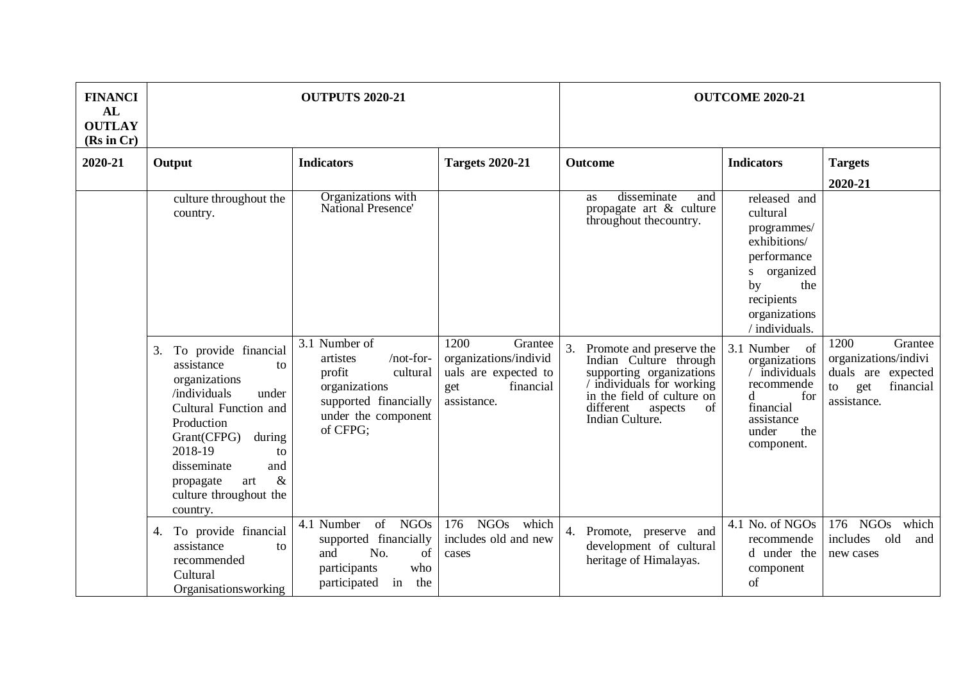| <b>FINANCI</b><br>AL<br><b>OUTLAY</b><br>(Rs in Cr) |                                                                                                                                                                                                                                                                   | <b>OUTPUTS 2020-21</b>                                                                                                   |                                                                                  |                                                                                                                                                              | <b>OUTCOME 2020-21</b>                                                                                                                                                             |                                                                                     |
|-----------------------------------------------------|-------------------------------------------------------------------------------------------------------------------------------------------------------------------------------------------------------------------------------------------------------------------|--------------------------------------------------------------------------------------------------------------------------|----------------------------------------------------------------------------------|--------------------------------------------------------------------------------------------------------------------------------------------------------------|------------------------------------------------------------------------------------------------------------------------------------------------------------------------------------|-------------------------------------------------------------------------------------|
| 2020-21                                             | Output                                                                                                                                                                                                                                                            | <b>Indicators</b>                                                                                                        | <b>Targets 2020-21</b>                                                           | <b>Outcome</b>                                                                                                                                               | <b>Indicators</b>                                                                                                                                                                  | <b>Targets</b>                                                                      |
|                                                     | culture throughout the<br>country.                                                                                                                                                                                                                                | Organizations with<br>National Presence'<br>3.1 Number of                                                                | 1200<br>Grantee                                                                  | disseminate<br>and<br><b>as</b><br>propagate art $\&$ culture<br>throughout the country.<br>3.<br>Promote and preserve the                                   | released and<br>cultural<br>programmes/<br>exhibitions/<br>performance<br>s organized<br>the<br>by<br>recipients<br>organizations<br>/ individuals.<br>3.1 Number<br><sub>of</sub> | 2020-21<br>1200<br>Grantee                                                          |
|                                                     | To provide financial<br>3.<br>assistance<br>to<br>organizations<br>/individuals<br>under<br>Cultural Function and<br>Production<br>Grant(CFPG)<br>during<br>2018-19<br>to<br>disseminate<br>and<br>$\&$<br>propagate<br>art<br>culture throughout the<br>country. | /not-for-<br>artistes<br>cultural<br>profit<br>organizations<br>supported financially<br>under the component<br>of CFPG; | organizations/individ<br>uals are expected to<br>financial<br>get<br>assistance. | Indian Culture through<br>supporting organizations<br>individuals for working<br>in the field of culture on<br>different<br>aspects<br>of<br>Indian Culture. | organizations<br>$/$ individuals<br>recommende<br>d.<br>for<br>financial<br>assistance<br>the<br>under<br>component.                                                               | organizations/indivi<br>duals are expected<br>financial<br>to<br>get<br>assistance. |
|                                                     | To provide financial<br>4.<br>assistance<br>to<br>recommended<br>Cultural<br>Organisationsworking                                                                                                                                                                 | of NGOs<br>4.1 Number<br>supported financially<br>No.<br>and<br>of<br>participants<br>who<br>participated<br>the<br>in   | <b>NGOs</b><br>176<br>which<br>includes old and new<br>cases                     | 4. Promote, preserve and<br>development of cultural<br>heritage of Himalayas.                                                                                | 4.1 No. of NGOs<br>recommende<br>d under the<br>component<br>of                                                                                                                    | <b>NGOs</b><br>176<br>which<br>includes<br>old<br>and<br>new cases                  |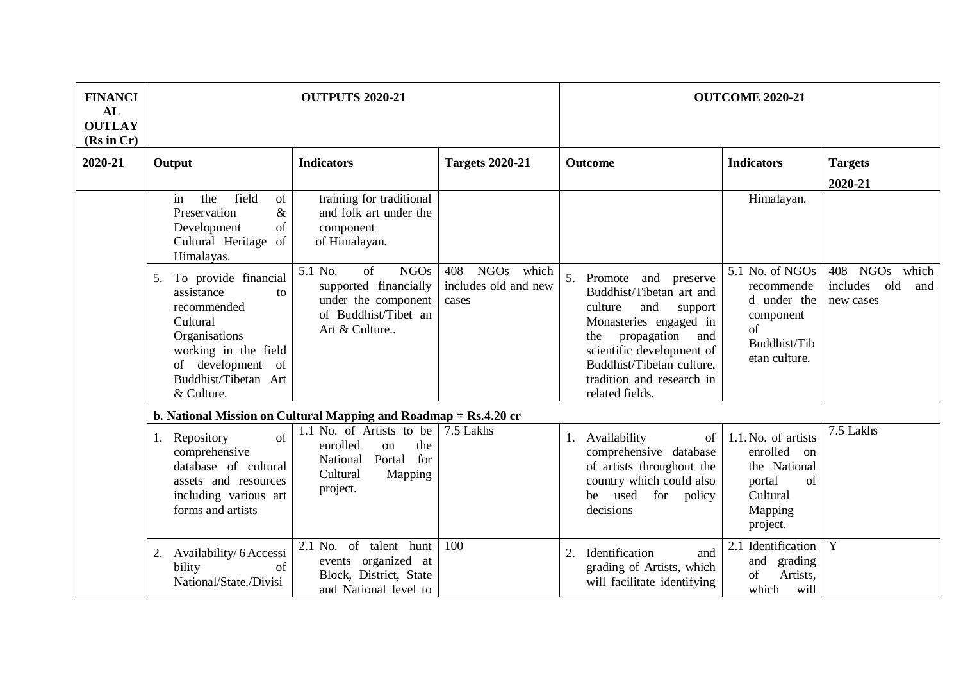| <b>FINANCI</b><br>AL<br><b>OUTLAY</b><br>(Rs in Cr) |                                                                                                                                                                               | <b>OUTPUTS 2020-21</b>                                                                                                |                                                    |                                                                                                                                                                                                                                                      | <b>OUTCOME 2020-21</b>                                                                                   |                                                                    |
|-----------------------------------------------------|-------------------------------------------------------------------------------------------------------------------------------------------------------------------------------|-----------------------------------------------------------------------------------------------------------------------|----------------------------------------------------|------------------------------------------------------------------------------------------------------------------------------------------------------------------------------------------------------------------------------------------------------|----------------------------------------------------------------------------------------------------------|--------------------------------------------------------------------|
| 2020-21                                             | Output                                                                                                                                                                        | <b>Indicators</b>                                                                                                     | <b>Targets 2020-21</b>                             | Outcome                                                                                                                                                                                                                                              | <b>Indicators</b>                                                                                        | <b>Targets</b><br>2020-21                                          |
|                                                     | field<br>the<br>of<br>in<br>Preservation<br>$\&$<br>of<br>Development<br>of<br>Cultural Heritage<br>Himalayas.                                                                | training for traditional<br>and folk art under the<br>component<br>of Himalayan.                                      |                                                    |                                                                                                                                                                                                                                                      | Himalayan.                                                                                               |                                                                    |
|                                                     | To provide financial<br>5.<br>assistance<br>to<br>recommended<br>Cultural<br>Organisations<br>working in the field<br>of development of<br>Buddhist/Tibetan Art<br>& Culture. | 5.1 No.<br>of<br><b>NGOs</b><br>supported financially<br>under the component<br>of Buddhist/Tibet an<br>Art & Culture | NGOs which<br>408<br>includes old and new<br>cases | 5.<br>Promote and preserve<br>Buddhist/Tibetan art and<br>and<br>culture<br>support<br>Monasteries engaged in<br>propagation<br>the<br>and<br>scientific development of<br>Buddhist/Tibetan culture,<br>tradition and research in<br>related fields. | 5.1 No. of NGOs<br>recommende<br>d under the<br>component<br>of<br>Buddhist/Tib<br>etan culture.         | 408<br><b>NGOs</b><br>which<br>old<br>includes<br>and<br>new cases |
|                                                     |                                                                                                                                                                               | b. National Mission on Cultural Mapping and Roadmap = Rs.4.20 cr                                                      |                                                    |                                                                                                                                                                                                                                                      |                                                                                                          |                                                                    |
|                                                     | Repository<br>of<br>1.<br>comprehensive<br>database of cultural<br>assets and resources<br>including various art<br>forms and artists                                         | 1.1 No. of Artists to be<br>enrolled<br>the<br>on<br>for<br>Portal<br>National<br>Cultural<br>Mapping<br>project.     | 7.5 Lakhs                                          | 1. Availability<br>of<br>comprehensive database<br>of artists throughout the<br>country which could also<br>used<br>for<br>be<br>policy<br>decisions                                                                                                 | 1.1. No. of artists<br>enrolled<br>on<br>the National<br>portal<br>of<br>Cultural<br>Mapping<br>project. | 7.5 Lakhs                                                          |
|                                                     | Availability/ 6 Accessi<br>2.<br>bility<br>of<br>National/State./Divisi                                                                                                       | $2.1$ No. of<br>talent<br>hunt<br>events organized at<br>Block, District, State<br>and National level to              | 100                                                | Identification<br>2.<br>and<br>grading of Artists, which<br>will facilitate identifying                                                                                                                                                              | 2.1 Identification<br>and<br>grading<br>Artists,<br>of<br>which<br>will                                  | Y                                                                  |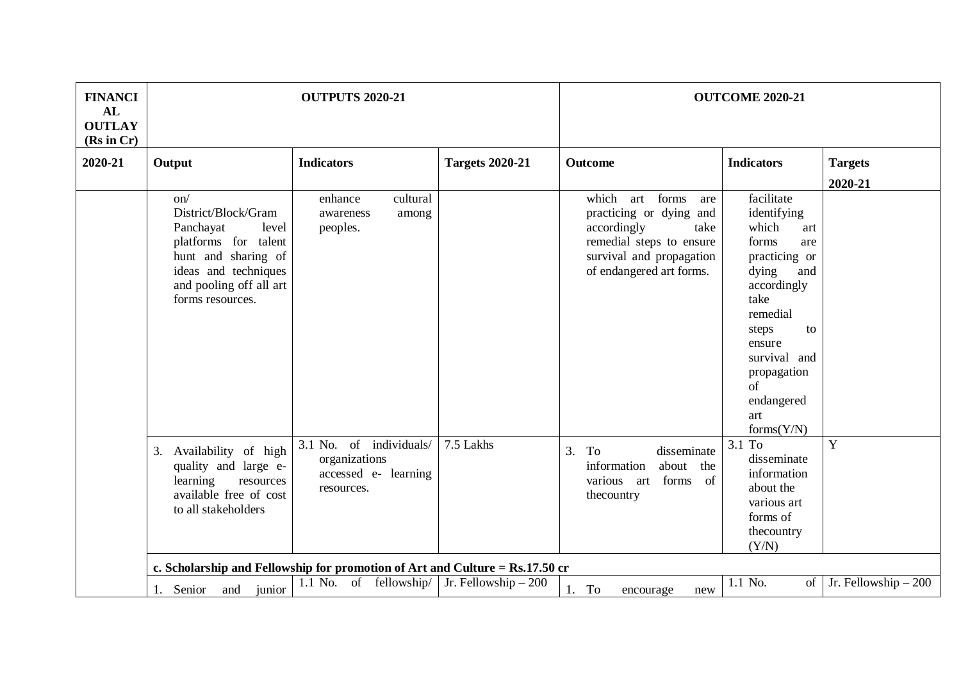| <b>FINANCI</b><br>AL<br><b>OUTLAY</b><br>(Rs in Cr) |                                                                                                                                                                                                                                                                                                        | <b>OUTPUTS 2020-21</b>                                                                                                                  |                        |                                                                                                                                                                                                                                                                 | <b>OUTCOME 2020-21</b>                                                                                                                                                                                                                                                                                                                |                       |
|-----------------------------------------------------|--------------------------------------------------------------------------------------------------------------------------------------------------------------------------------------------------------------------------------------------------------------------------------------------------------|-----------------------------------------------------------------------------------------------------------------------------------------|------------------------|-----------------------------------------------------------------------------------------------------------------------------------------------------------------------------------------------------------------------------------------------------------------|---------------------------------------------------------------------------------------------------------------------------------------------------------------------------------------------------------------------------------------------------------------------------------------------------------------------------------------|-----------------------|
| 2020-21                                             | Output                                                                                                                                                                                                                                                                                                 | <b>Indicators</b>                                                                                                                       | <b>Targets 2020-21</b> | <b>Outcome</b>                                                                                                                                                                                                                                                  | <b>Indicators</b>                                                                                                                                                                                                                                                                                                                     | <b>Targets</b>        |
|                                                     |                                                                                                                                                                                                                                                                                                        |                                                                                                                                         |                        |                                                                                                                                                                                                                                                                 |                                                                                                                                                                                                                                                                                                                                       | 2020-21               |
|                                                     | on/<br>District/Block/Gram<br>level<br>Panchayat<br>platforms for talent<br>hunt and sharing of<br>ideas and techniques<br>and pooling off all art<br>forms resources.<br>Availability of high<br>3.<br>quality and large e-<br>learning<br>resources<br>available free of cost<br>to all stakeholders | enhance<br>cultural<br>awareness<br>among<br>peoples.<br>3.1 No. of individuals/<br>organizations<br>accessed e- learning<br>resources. | 7.5 Lakhs              | which<br>art forms<br>are<br>practicing or dying and<br>accordingly<br>take<br>remedial steps to ensure<br>survival and propagation<br>of endangered art forms.<br>disseminate<br>3.<br>To<br>information<br>about the<br>various art forms<br>of<br>thecountry | facilitate<br>identifying<br>which<br>art<br>forms<br>are<br>practicing or<br>dying<br>and<br>accordingly<br>take<br>remedial<br>to<br>steps<br>ensure<br>survival and<br>propagation<br>of<br>endangered<br>art<br>forms(Y/N)<br>3.1 To<br>disseminate<br>information<br>about the<br>various art<br>forms of<br>thecountry<br>(Y/N) | Y                     |
|                                                     |                                                                                                                                                                                                                                                                                                        | c. Scholarship and Fellowship for promotion of Art and Culture = Rs.17.50 cr                                                            |                        |                                                                                                                                                                                                                                                                 |                                                                                                                                                                                                                                                                                                                                       |                       |
|                                                     | junior<br>Senior<br>and<br>1.                                                                                                                                                                                                                                                                          | 1.1 No. of fellowship   Jr. Fellowship – 200                                                                                            |                        | To<br>1.<br>encourage<br>new                                                                                                                                                                                                                                    | 1.1 No.<br>of                                                                                                                                                                                                                                                                                                                         | Jr. Fellowship $-200$ |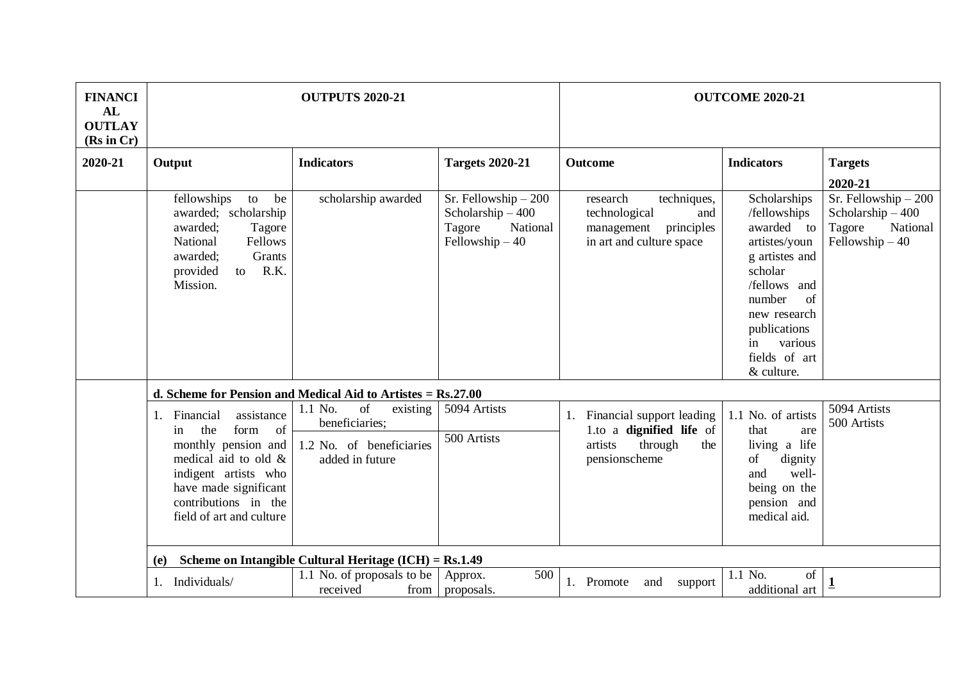| <b>FINANCI</b><br>AL<br><b>OUTLAY</b> |                                                                                                                                                                                                                       | <b>OUTPUTS 2020-21</b>                                                                     |                                                                                       |                                                                                                         | <b>OUTCOME 2020-21</b>                                                                                                                                                                                   |                                                                                       |
|---------------------------------------|-----------------------------------------------------------------------------------------------------------------------------------------------------------------------------------------------------------------------|--------------------------------------------------------------------------------------------|---------------------------------------------------------------------------------------|---------------------------------------------------------------------------------------------------------|----------------------------------------------------------------------------------------------------------------------------------------------------------------------------------------------------------|---------------------------------------------------------------------------------------|
| (Rs in Cr)                            |                                                                                                                                                                                                                       |                                                                                            |                                                                                       |                                                                                                         |                                                                                                                                                                                                          |                                                                                       |
| 2020-21                               | Output                                                                                                                                                                                                                | <b>Indicators</b>                                                                          | <b>Targets 2020-21</b>                                                                | <b>Outcome</b>                                                                                          | <b>Indicators</b>                                                                                                                                                                                        | <b>Targets</b>                                                                        |
|                                       |                                                                                                                                                                                                                       |                                                                                            |                                                                                       |                                                                                                         |                                                                                                                                                                                                          | 2020-21                                                                               |
|                                       | fellowships<br>to<br>be<br>awarded; scholarship<br>awarded:<br>Tagore<br>Fellows<br>National<br>Grants<br>awarded;<br>to R.K.<br>provided<br>Mission.                                                                 | scholarship awarded                                                                        | Sr. Fellowship $-200$<br>Scholarship $-400$<br>Tagore<br>National<br>Fellowship $-40$ | research<br>techniques,<br>technological<br>and<br>principles<br>management<br>in art and culture space | Scholarships<br>/fellowships<br>awarded to<br>artistes/youn<br>g artistes and<br>scholar<br>/fellows and<br>number<br>of<br>new research<br>publications<br>various<br>in<br>fields of art<br>& culture. | Sr. Fellowship $-200$<br>Scholarship $-400$<br>Tagore<br>National<br>Fellowship $-40$ |
|                                       |                                                                                                                                                                                                                       | d. Scheme for Pension and Medical Aid to Artistes $=$ Rs.27.00                             |                                                                                       |                                                                                                         |                                                                                                                                                                                                          |                                                                                       |
|                                       | assistance<br>Financial<br>$1_{\cdot}$<br>of<br>the<br>form<br>in<br>monthly pension and<br>medical aid to old &<br>indigent artists who<br>have made significant<br>contributions in the<br>field of art and culture | 1.1 No.<br>of<br>existing<br>beneficiaries;<br>1.2 No. of beneficiaries<br>added in future | 5094 Artists<br>500 Artists                                                           | 1. Financial support leading<br>1.to a dignified life of<br>artists<br>through<br>the<br>pensionscheme  | 1.1 No. of artists<br>that<br>are<br>living a life<br>of<br>dignity<br>well-<br>and<br>being on the<br>pension and<br>medical aid.                                                                       | 5094 Artists<br>500 Artists                                                           |
|                                       | (e)                                                                                                                                                                                                                   | Scheme on Intangible Cultural Heritage $(ICH) = Rs.1.49$                                   |                                                                                       |                                                                                                         |                                                                                                                                                                                                          |                                                                                       |
|                                       | Individuals/<br>1.                                                                                                                                                                                                    | 1.1 No. of proposals to be<br>received<br>from                                             | 500<br>Approx.<br>proposals.                                                          | 1. Promote<br>and<br>support                                                                            | 1.1 No.<br>of<br>additional art                                                                                                                                                                          | $\mathbf 1$                                                                           |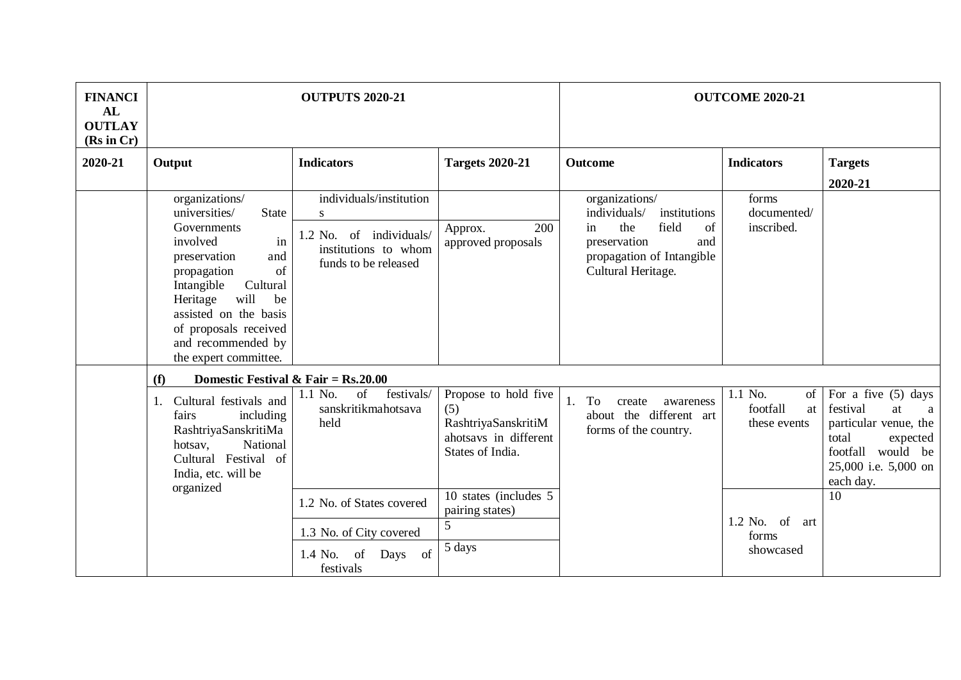| <b>FINANCI</b><br>AL<br><b>OUTLAY</b><br>(Rs in Cr) |                                                                                                                                                                                                                                                                                   | <b>OUTPUTS 2020-21</b>                                                                                  |                                                                                                 |                                                                                                                                                      | <b>OUTCOME 2020-21</b>                          |                                                                                                                                                      |
|-----------------------------------------------------|-----------------------------------------------------------------------------------------------------------------------------------------------------------------------------------------------------------------------------------------------------------------------------------|---------------------------------------------------------------------------------------------------------|-------------------------------------------------------------------------------------------------|------------------------------------------------------------------------------------------------------------------------------------------------------|-------------------------------------------------|------------------------------------------------------------------------------------------------------------------------------------------------------|
| 2020-21                                             | Output                                                                                                                                                                                                                                                                            | <b>Indicators</b>                                                                                       | <b>Targets 2020-21</b>                                                                          | <b>Outcome</b>                                                                                                                                       | <b>Indicators</b>                               | <b>Targets</b><br>2020-21                                                                                                                            |
|                                                     | organizations/<br>universities/<br><b>State</b><br>Governments<br>involved<br>in<br>and<br>preservation<br>of<br>propagation<br>Intangible<br>Cultural<br>will<br>Heritage<br>be<br>assisted on the basis<br>of proposals received<br>and recommended by<br>the expert committee. | individuals/institution<br>S<br>1.2 No. of individuals/<br>institutions to whom<br>funds to be released | 200<br>Approx.<br>approved proposals                                                            | organizations/<br>individuals/<br>institutions<br>the<br>field<br>of<br>in<br>preservation<br>and<br>propagation of Intangible<br>Cultural Heritage. | forms<br>documented/<br>inscribed.              |                                                                                                                                                      |
|                                                     | Domestic Festival & Fair = $Rs.20.00$<br>(f)                                                                                                                                                                                                                                      |                                                                                                         |                                                                                                 |                                                                                                                                                      |                                                 |                                                                                                                                                      |
|                                                     | Cultural festivals and<br>1.<br>fairs<br>including<br>RashtriyaSanskritiMa<br>National<br>hotsav,<br>Cultural Festival of<br>India, etc. will be<br>organized                                                                                                                     | of<br>festivals/<br>1.1 No.<br>sanskritikmahotsava<br>held                                              | Propose to hold five<br>(5)<br>RashtriyaSanskritiM<br>ahotsays in different<br>States of India. | To<br>1.<br>create<br>awareness<br>about the different art<br>forms of the country.                                                                  | 1.1 No.<br>of<br>footfall<br>at<br>these events | For a five $(5)$ days<br>festival<br>at<br>a<br>particular venue, the<br>total<br>expected<br>footfall would be<br>25,000 i.e. 5,000 on<br>each day. |
|                                                     |                                                                                                                                                                                                                                                                                   | 1.2 No. of States covered                                                                               | 10 states (includes 5<br>pairing states)<br>5                                                   |                                                                                                                                                      | $1.2$ No. of<br>art                             | 10                                                                                                                                                   |
|                                                     |                                                                                                                                                                                                                                                                                   | 1.3 No. of City covered<br>1.4 No.<br>Days of<br>of<br>festivals                                        | 5 days                                                                                          |                                                                                                                                                      | forms<br>showcased                              |                                                                                                                                                      |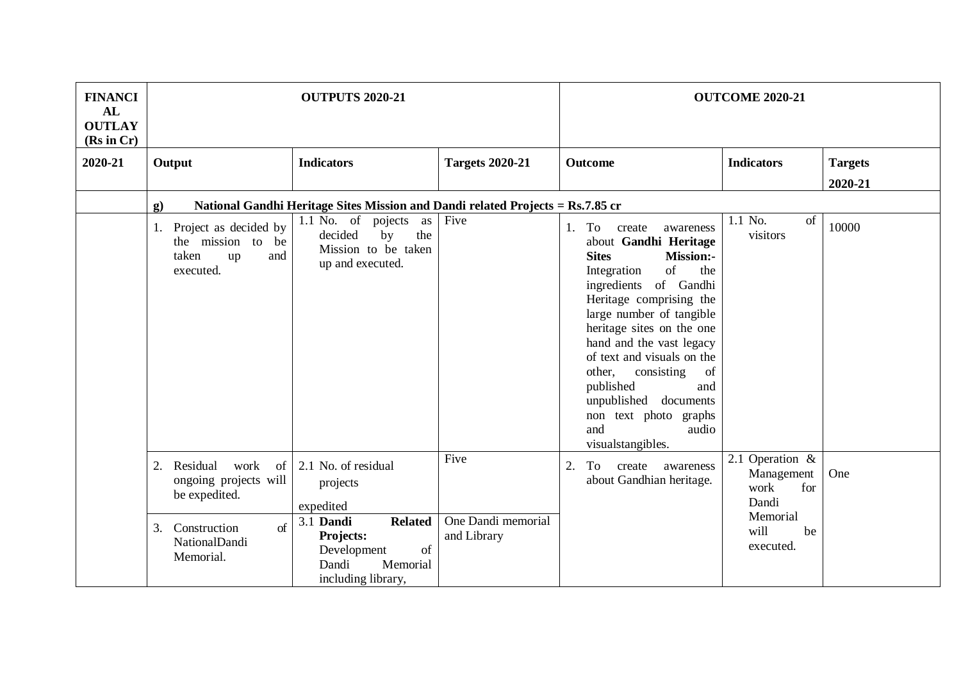| <b>FINANCI</b><br>AL<br><b>OUTLAY</b> | <b>OUTPUTS 2020-21</b>                                                              |                                                                                                          |                                   | <b>OUTCOME 2020-21</b>                                                                                                                                                                                                                                                                                                                                                                                                            |                                                       |                |
|---------------------------------------|-------------------------------------------------------------------------------------|----------------------------------------------------------------------------------------------------------|-----------------------------------|-----------------------------------------------------------------------------------------------------------------------------------------------------------------------------------------------------------------------------------------------------------------------------------------------------------------------------------------------------------------------------------------------------------------------------------|-------------------------------------------------------|----------------|
| (Rs in Cr)                            |                                                                                     |                                                                                                          |                                   |                                                                                                                                                                                                                                                                                                                                                                                                                                   |                                                       |                |
| 2020-21                               | Output                                                                              | <b>Indicators</b>                                                                                        | <b>Targets 2020-21</b>            | Outcome                                                                                                                                                                                                                                                                                                                                                                                                                           | <b>Indicators</b>                                     | <b>Targets</b> |
|                                       |                                                                                     |                                                                                                          |                                   |                                                                                                                                                                                                                                                                                                                                                                                                                                   |                                                       | 2020-21        |
|                                       | $\mathbf{g}$                                                                        | National Gandhi Heritage Sites Mission and Dandi related Projects = Rs.7.85 cr                           |                                   |                                                                                                                                                                                                                                                                                                                                                                                                                                   |                                                       |                |
|                                       | Project as decided by<br>1.<br>the mission to be<br>taken<br>up<br>and<br>executed. | $\overline{1.1}$ No. of pojects<br>as<br>decided<br>the<br>by<br>Mission to be taken<br>up and executed. | Five                              | To<br>1.<br>create<br>awareness<br>about Gandhi Heritage<br><b>Sites</b><br>Mission:-<br>of<br>the<br>Integration<br>ingredients of Gandhi<br>Heritage comprising the<br>large number of tangible<br>heritage sites on the one<br>hand and the vast legacy<br>of text and visuals on the<br>other,<br>consisting<br>of<br>published<br>and<br>unpublished documents<br>non text photo graphs<br>and<br>audio<br>visualstangibles. | 1.1 No.<br>of<br>visitors                             | 10000          |
|                                       | Residual<br>work<br>2.<br>-of<br>ongoing projects will<br>be expedited.             | 2.1 No. of residual<br>projects<br>expedited                                                             | Five                              | 2.<br>To<br>create<br>awareness<br>about Gandhian heritage.                                                                                                                                                                                                                                                                                                                                                                       | 2.1 Operation &<br>Management<br>work<br>for<br>Dandi | One            |
|                                       | Construction<br>of<br>3.<br>NationalDandi<br>Memorial.                              | 3.1 Dandi<br><b>Related</b><br>Projects:<br>Development<br>of<br>Memorial<br>Dandi<br>including library, | One Dandi memorial<br>and Library |                                                                                                                                                                                                                                                                                                                                                                                                                                   | Memorial<br>will<br>be<br>executed.                   |                |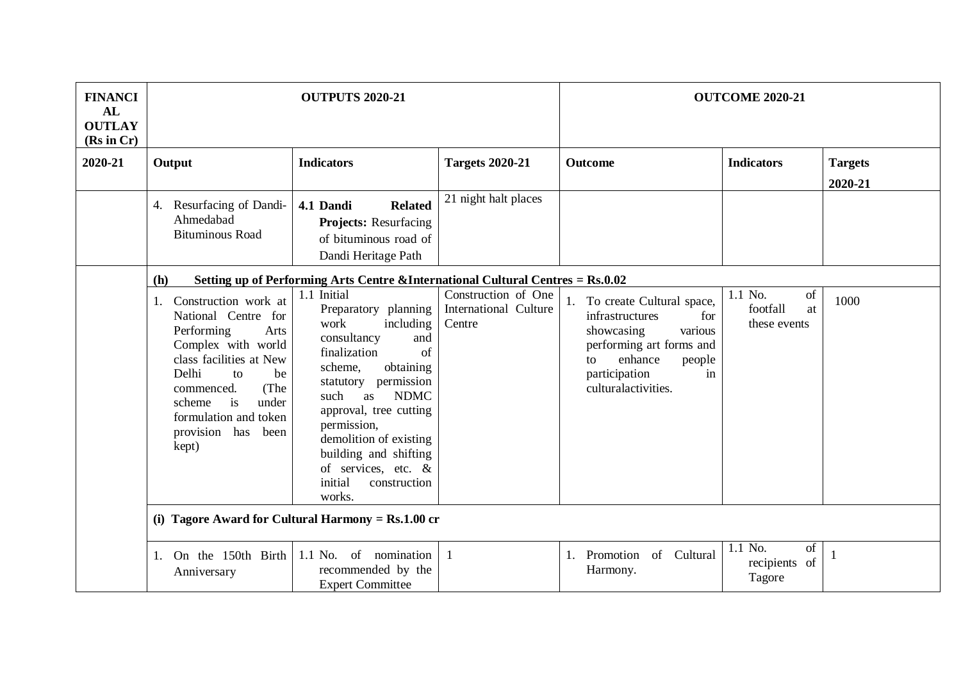| <b>FINANCI</b><br>AL<br><b>OUTLAY</b><br>(Rs in Cr) |                                                                                                                                                                                                                                                      | <b>OUTPUTS 2020-21</b>                                                                                                                                                                                                                                                                                                                          |                                                        |                                                                                                                                                                                      | <b>OUTCOME 2020-21</b>                          |                |
|-----------------------------------------------------|------------------------------------------------------------------------------------------------------------------------------------------------------------------------------------------------------------------------------------------------------|-------------------------------------------------------------------------------------------------------------------------------------------------------------------------------------------------------------------------------------------------------------------------------------------------------------------------------------------------|--------------------------------------------------------|--------------------------------------------------------------------------------------------------------------------------------------------------------------------------------------|-------------------------------------------------|----------------|
| 2020-21                                             | Output                                                                                                                                                                                                                                               | <b>Indicators</b>                                                                                                                                                                                                                                                                                                                               | <b>Targets 2020-21</b>                                 | <b>Outcome</b>                                                                                                                                                                       | <b>Indicators</b>                               | <b>Targets</b> |
|                                                     |                                                                                                                                                                                                                                                      |                                                                                                                                                                                                                                                                                                                                                 |                                                        |                                                                                                                                                                                      |                                                 | 2020-21        |
|                                                     | Resurfacing of Dandi-<br>4.<br>Ahmedabad<br><b>Bituminous Road</b>                                                                                                                                                                                   | <b>Related</b><br>4.1 Dandi<br><b>Projects:</b> Resurfacing<br>of bituminous road of<br>Dandi Heritage Path                                                                                                                                                                                                                                     | 21 night halt places                                   |                                                                                                                                                                                      |                                                 |                |
|                                                     | (h)                                                                                                                                                                                                                                                  | Setting up of Performing Arts Centre &International Cultural Centres = Rs.0.02                                                                                                                                                                                                                                                                  |                                                        |                                                                                                                                                                                      |                                                 |                |
|                                                     | Construction work at<br>1.<br>National Centre for<br>Performing<br>Arts<br>Complex with world<br>class facilities at New<br>Delhi<br>to<br>be<br>(The<br>commenced.<br>is<br>under<br>scheme<br>formulation and token<br>provision has been<br>kept) | 1.1 Initial<br>Preparatory planning<br>work<br>including<br>consultancy<br>and<br>finalization<br>of<br>obtaining<br>scheme,<br>permission<br>statutory<br><b>NDMC</b><br>such<br>as<br>approval, tree cutting<br>permission,<br>demolition of existing<br>building and shifting<br>of services, etc. $\&$<br>initial<br>construction<br>works. | Construction of One<br>International Culture<br>Centre | 1. To create Cultural space,<br>infrastructures<br>for<br>showcasing<br>various<br>performing art forms and<br>enhance<br>to<br>people<br>participation<br>in<br>culturalactivities. | 1.1 No.<br>of<br>footfall<br>at<br>these events | 1000           |
|                                                     |                                                                                                                                                                                                                                                      | (i) Tagore Award for Cultural Harmony = $Rs.1.00$ cr                                                                                                                                                                                                                                                                                            |                                                        |                                                                                                                                                                                      |                                                 |                |
|                                                     | On the 150th Birth<br>1.<br>Anniversary                                                                                                                                                                                                              | of nomination<br>1.1 No.<br>recommended by the<br><b>Expert Committee</b>                                                                                                                                                                                                                                                                       | 1                                                      | of Cultural<br>1. Promotion<br>Harmony.                                                                                                                                              | $1.1$ No.<br>of<br>recipients of<br>Tagore      | $\mathbf{1}$   |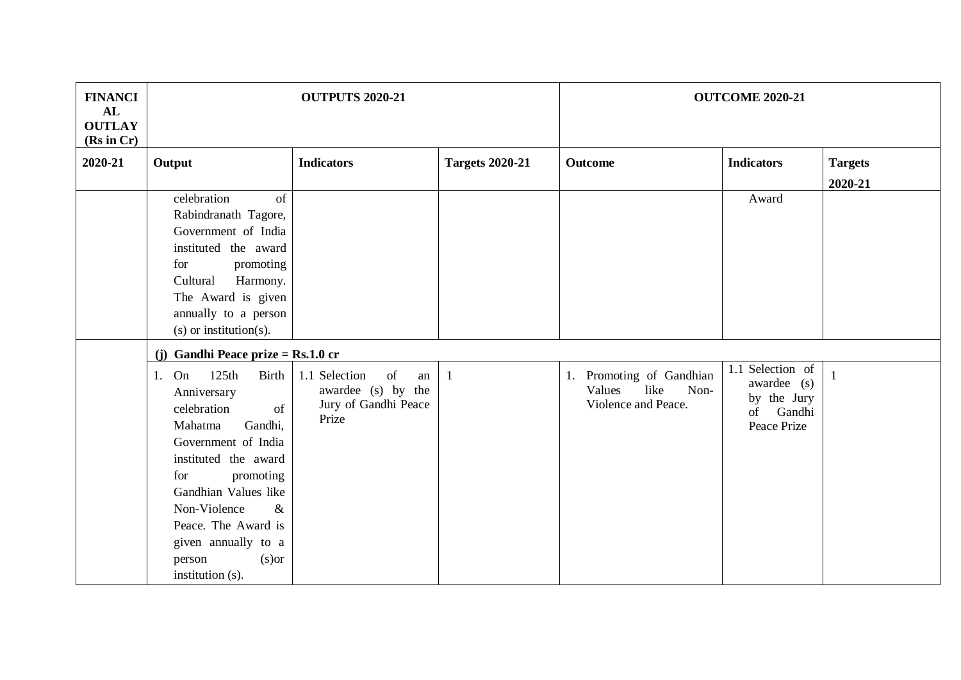| <b>FINANCI</b><br>AL<br><b>OUTLAY</b> | <b>OUTPUTS 2020-21</b>                                                                                                                                                                                                                                                                              |                                                                                  |                        | <b>OUTCOME 2020-21</b>                                                    |                                                                               |                           |
|---------------------------------------|-----------------------------------------------------------------------------------------------------------------------------------------------------------------------------------------------------------------------------------------------------------------------------------------------------|----------------------------------------------------------------------------------|------------------------|---------------------------------------------------------------------------|-------------------------------------------------------------------------------|---------------------------|
| (Rs in Cr)<br>2020-21                 | Output                                                                                                                                                                                                                                                                                              | <b>Indicators</b>                                                                | <b>Targets 2020-21</b> | <b>Outcome</b>                                                            | <b>Indicators</b>                                                             | <b>Targets</b><br>2020-21 |
|                                       | celebration<br>of<br>Rabindranath Tagore,<br>Government of India<br>instituted the award<br>for<br>promoting<br>Cultural<br>Harmony.<br>The Award is given<br>annually to a person<br>$(s)$ or institution $(s)$ .                                                                                  |                                                                                  |                        |                                                                           | Award                                                                         |                           |
|                                       | (j) Gandhi Peace prize = $Rs.1.0$ cr                                                                                                                                                                                                                                                                |                                                                                  |                        |                                                                           |                                                                               |                           |
|                                       | 1. On<br>125th<br><b>Birth</b><br>Anniversary<br>celebration<br>of<br>Gandhi,<br>Mahatma<br>Government of India<br>instituted the award<br>for<br>promoting<br>Gandhian Values like<br>Non-Violence<br>$\&$<br>Peace. The Award is<br>given annually to a<br>$(s)$ or<br>person<br>institution (s). | 1.1 Selection<br>of<br>an<br>awardee (s) by the<br>Jury of Gandhi Peace<br>Prize | $\mathbf{1}$           | 1. Promoting of Gandhian<br>like<br>Non-<br>Values<br>Violence and Peace. | 1.1 Selection of<br>awardee (s)<br>by the Jury<br>Gandhi<br>of<br>Peace Prize | $\mathbf{1}$              |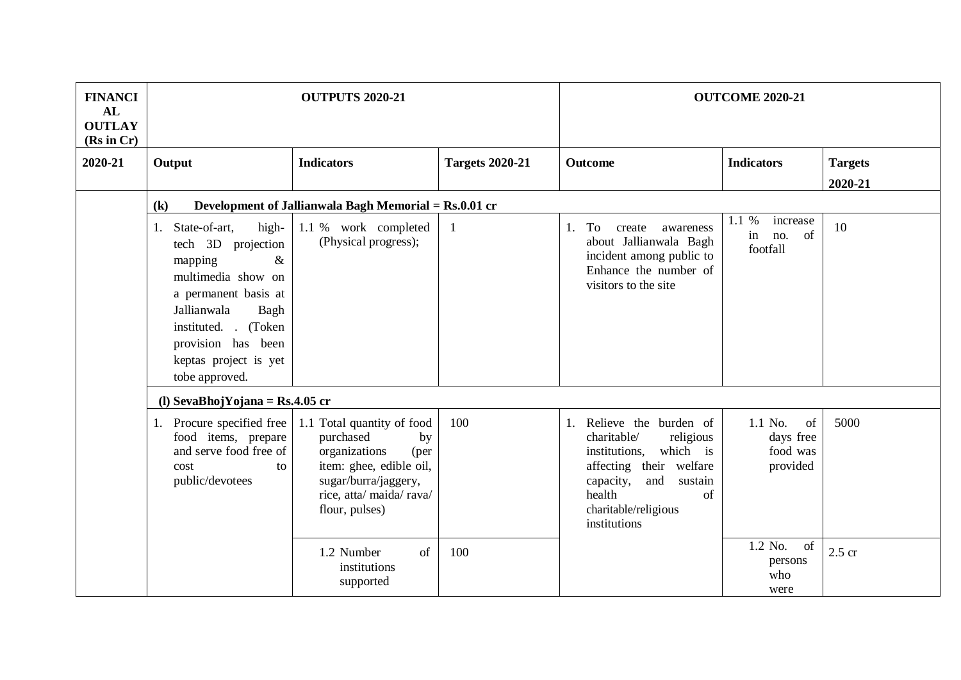| <b>FINANCI</b><br>AL<br><b>OUTLAY</b><br>(Rs in Cr) |                                                                                                                                                                                                                                     | <b>OUTPUTS 2020-21</b>                                                                                                                                                  |                        |                                                                                                                                                                                                        | <b>OUTCOME 2020-21</b>                             |                |
|-----------------------------------------------------|-------------------------------------------------------------------------------------------------------------------------------------------------------------------------------------------------------------------------------------|-------------------------------------------------------------------------------------------------------------------------------------------------------------------------|------------------------|--------------------------------------------------------------------------------------------------------------------------------------------------------------------------------------------------------|----------------------------------------------------|----------------|
| 2020-21                                             | Output                                                                                                                                                                                                                              | <b>Indicators</b>                                                                                                                                                       | <b>Targets 2020-21</b> | Outcome                                                                                                                                                                                                | <b>Indicators</b>                                  | <b>Targets</b> |
|                                                     |                                                                                                                                                                                                                                     |                                                                                                                                                                         |                        |                                                                                                                                                                                                        |                                                    | 2020-21        |
|                                                     | $\left( \mathbf{k}\right)$                                                                                                                                                                                                          | Development of Jallianwala Bagh Memorial = Rs.0.01 cr                                                                                                                   |                        |                                                                                                                                                                                                        |                                                    |                |
|                                                     | high-<br>State-of-art,<br>1.<br>tech 3D projection<br>$\&$<br>mapping<br>multimedia show on<br>a permanent basis at<br>Jallianwala<br>Bagh<br>instituted. . (Token<br>provision has been<br>keptas project is yet<br>tobe approved. | 1.1 % work completed<br>(Physical progress);                                                                                                                            | $\mathbf{1}$           | To<br>1.<br>create<br>awareness<br>about Jallianwala Bagh<br>incident among public to<br>Enhance the number of<br>visitors to the site                                                                 | 1.1 %<br>increase<br>of<br>in no.<br>footfall      | 10             |
|                                                     | (l) SevaBhojYojana = $Rs.4.05$ cr                                                                                                                                                                                                   |                                                                                                                                                                         |                        |                                                                                                                                                                                                        |                                                    |                |
|                                                     | 1. Procure specified free<br>food items, prepare<br>and serve food free of<br>cost<br>to<br>public/devotees                                                                                                                         | 1.1 Total quantity of food<br>purchased<br>by<br>organizations<br>(per<br>item: ghee, edible oil,<br>sugar/burra/jaggery,<br>rice, atta/ maida/ rava/<br>flour, pulses) | 100                    | Relieve the burden of<br>1.<br>charitable/<br>religious<br>which is<br>institutions.<br>affecting their welfare<br>capacity,<br>and<br>sustain<br>health<br>of<br>charitable/religious<br>institutions | 1.1 No.<br>of<br>days free<br>food was<br>provided | 5000           |
|                                                     |                                                                                                                                                                                                                                     | 1.2 Number<br>of<br>institutions<br>supported                                                                                                                           | 100                    |                                                                                                                                                                                                        | 1.2 No.<br>of<br>persons<br>who<br>were            | $2.5$ cr       |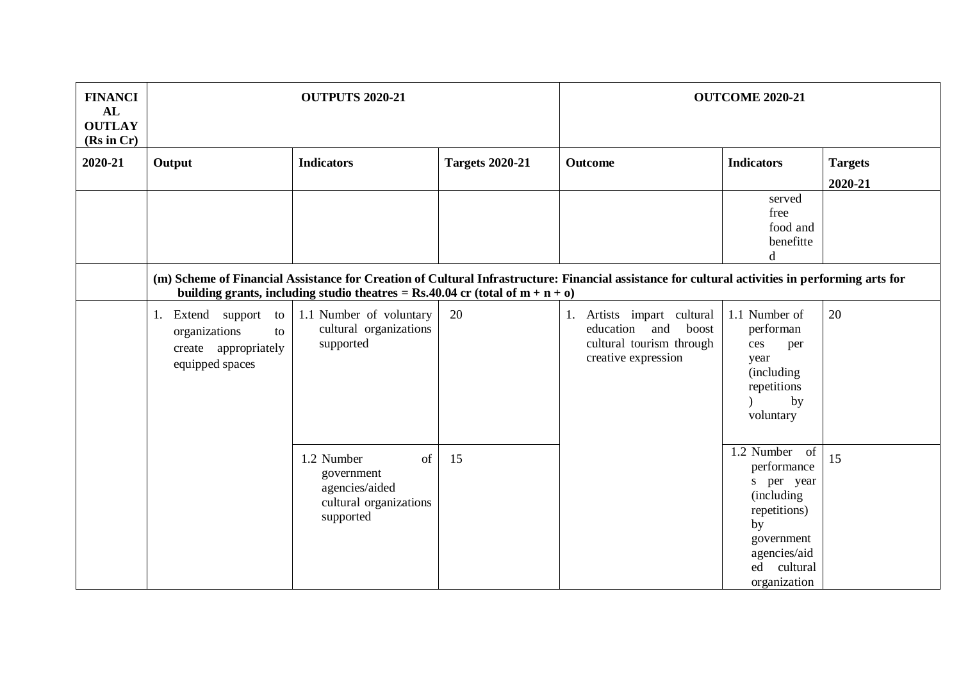| <b>FINANCI</b><br>AL<br><b>OUTLAY</b><br>(Rs in Cr) | <b>OUTPUTS 2020-21</b>                                                                                                                                                                                                              |                                                                                         |                        | <b>OUTCOME 2020-21</b>                                                                                        |                                                                                                                                                     |                           |  |  |
|-----------------------------------------------------|-------------------------------------------------------------------------------------------------------------------------------------------------------------------------------------------------------------------------------------|-----------------------------------------------------------------------------------------|------------------------|---------------------------------------------------------------------------------------------------------------|-----------------------------------------------------------------------------------------------------------------------------------------------------|---------------------------|--|--|
| 2020-21                                             | Output                                                                                                                                                                                                                              | <b>Indicators</b>                                                                       | <b>Targets 2020-21</b> | <b>Outcome</b>                                                                                                | <b>Indicators</b>                                                                                                                                   | <b>Targets</b><br>2020-21 |  |  |
|                                                     |                                                                                                                                                                                                                                     |                                                                                         |                        |                                                                                                               | served<br>free<br>food and<br>benefitte<br>d                                                                                                        |                           |  |  |
|                                                     | (m) Scheme of Financial Assistance for Creation of Cultural Infrastructure: Financial assistance for cultural activities in performing arts for<br>building grants, including studio theatres = Rs.40.04 cr (total of $m + n + o$ ) |                                                                                         |                        |                                                                                                               |                                                                                                                                                     |                           |  |  |
|                                                     | Extend support to<br>1.<br>organizations<br>to<br>create appropriately<br>equipped spaces                                                                                                                                           | 1.1 Number of voluntary<br>cultural organizations<br>supported                          | 20                     | Artists impart cultural<br>1.<br>education<br>and<br>boost<br>cultural tourism through<br>creative expression | 1.1 Number of<br>performan<br>ces<br>per<br>year<br><i>(including)</i><br>repetitions<br>by<br>voluntary                                            | 20                        |  |  |
|                                                     |                                                                                                                                                                                                                                     | 1.2 Number<br>of<br>government<br>agencies/aided<br>cultural organizations<br>supported | 15                     |                                                                                                               | 1.2 Number of<br>performance<br>s per year<br><i>(including)</i><br>repetitions)<br>by<br>government<br>agencies/aid<br>ed cultural<br>organization | 15                        |  |  |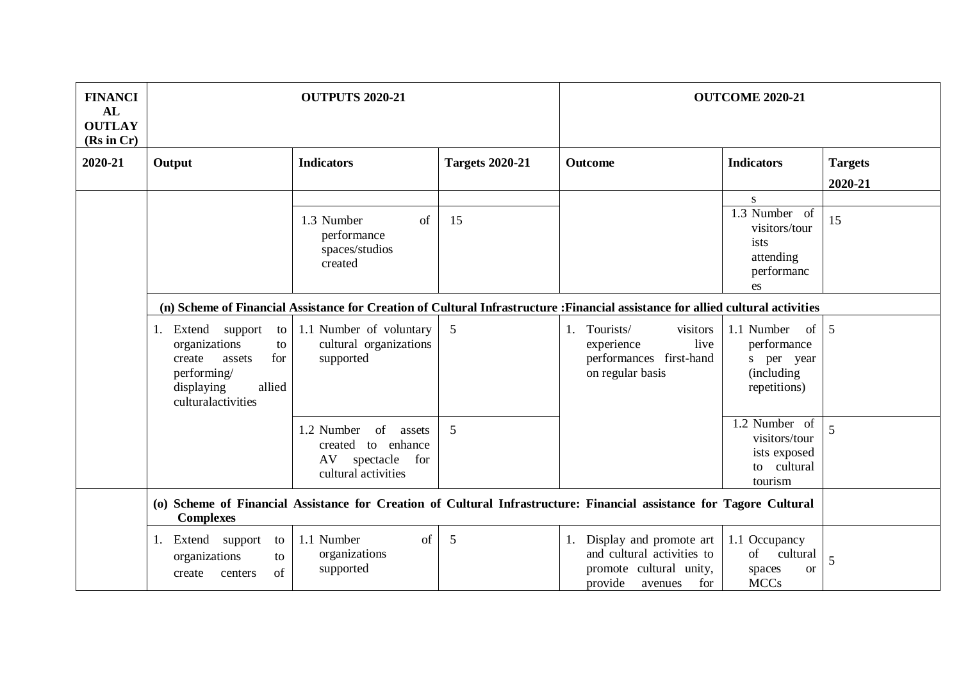| <b>FINANCI</b><br>AL<br><b>OUTLAY</b><br>(Rs in Cr) | <b>OUTPUTS 2020-21</b>                                                                                                                       |                                                                                             |                        | <b>OUTCOME 2020-21</b>                                                                                               |                                                                                                  |                |  |
|-----------------------------------------------------|----------------------------------------------------------------------------------------------------------------------------------------------|---------------------------------------------------------------------------------------------|------------------------|----------------------------------------------------------------------------------------------------------------------|--------------------------------------------------------------------------------------------------|----------------|--|
| 2020-21                                             | Output                                                                                                                                       | <b>Indicators</b>                                                                           | <b>Targets 2020-21</b> | <b>Outcome</b>                                                                                                       | <b>Indicators</b>                                                                                | <b>Targets</b> |  |
|                                                     |                                                                                                                                              |                                                                                             |                        |                                                                                                                      |                                                                                                  | 2020-21        |  |
|                                                     |                                                                                                                                              |                                                                                             |                        |                                                                                                                      | S<br>1.3 Number of                                                                               |                |  |
|                                                     |                                                                                                                                              | 1.3 Number<br>of<br>performance<br>spaces/studios<br>created                                | 15                     |                                                                                                                      | visitors/tour<br>ists<br>attending<br>performanc<br>es                                           | 15             |  |
|                                                     | (n) Scheme of Financial Assistance for Creation of Cultural Infrastructure : Financial assistance for allied cultural activities             |                                                                                             |                        |                                                                                                                      |                                                                                                  |                |  |
|                                                     | Extend<br>support<br>to<br>1.<br>organizations<br>to<br>for<br>create<br>assets<br>performing/<br>allied<br>displaying<br>culturalactivities | 1.1 Number of voluntary<br>cultural organizations<br>supported                              | 5                      | 1. Tourists/<br>visitors<br>live<br>experience<br>performances first-hand<br>on regular basis                        | 1.1 Number<br>of <sub>1</sub><br>performance<br>s per year<br><i>(including)</i><br>repetitions) | 5              |  |
|                                                     |                                                                                                                                              | of<br>1.2 Number<br>assets<br>created to enhance<br>AV spectacle for<br>cultural activities | 5                      |                                                                                                                      | 1.2 Number of<br>visitors/tour<br>ists exposed<br>to cultural<br>tourism                         | $\overline{5}$ |  |
|                                                     | <b>Complexes</b>                                                                                                                             |                                                                                             |                        | (o) Scheme of Financial Assistance for Creation of Cultural Infrastructure: Financial assistance for Tagore Cultural |                                                                                                  |                |  |
|                                                     | Extend support<br>to<br>1.<br>organizations<br>to<br>of<br>create<br>centers                                                                 | 1.1 Number<br>of<br>organizations<br>supported                                              | 5                      | Display and promote art<br>and cultural activities to<br>promote cultural unity,<br>provide<br>for<br>avenues        | 1.1 Occupancy<br>of cultural<br>spaces<br><b>or</b><br><b>MCCs</b>                               | 5              |  |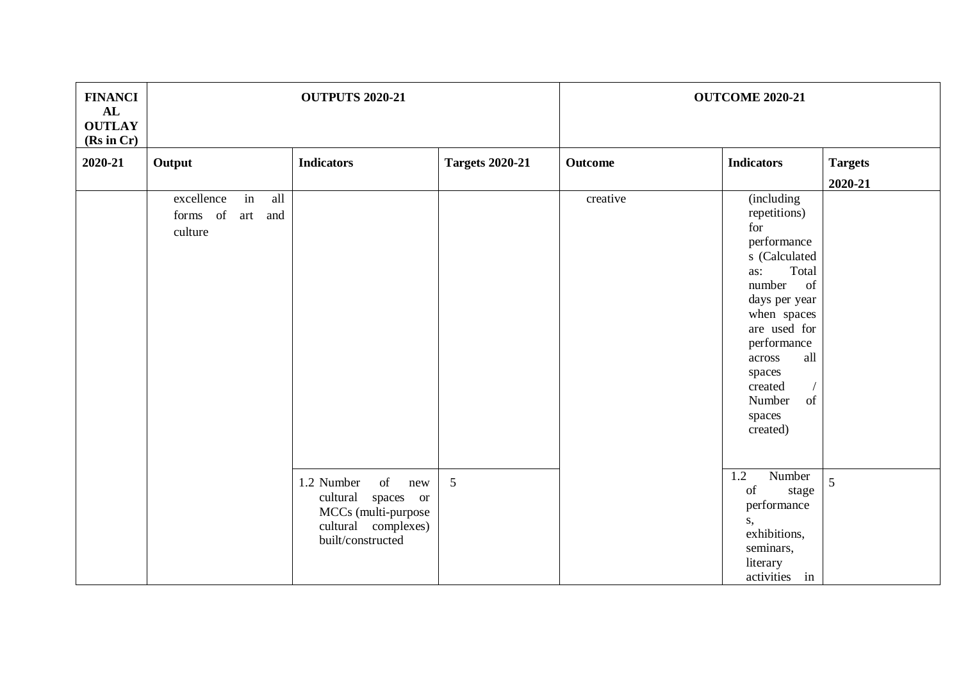| <b>FINANCI</b><br>AL<br><b>OUTLAY</b><br>(Rs in Cr) | <b>OUTPUTS 2020-21</b>                                       |                                                                                                                  |                        | <b>OUTCOME 2020-21</b> |                                                                                                                                                                                                                                              |                |
|-----------------------------------------------------|--------------------------------------------------------------|------------------------------------------------------------------------------------------------------------------|------------------------|------------------------|----------------------------------------------------------------------------------------------------------------------------------------------------------------------------------------------------------------------------------------------|----------------|
| 2020-21                                             | Output                                                       | <b>Indicators</b>                                                                                                | <b>Targets 2020-21</b> | <b>Outcome</b>         | <b>Indicators</b>                                                                                                                                                                                                                            | <b>Targets</b> |
|                                                     |                                                              |                                                                                                                  |                        |                        |                                                                                                                                                                                                                                              | 2020-21        |
|                                                     | excellence<br>in<br>all<br>forms of<br>and<br>art<br>culture |                                                                                                                  |                        | creative               | (including<br>repetitions)<br>for<br>performance<br>s (Calculated<br>Total<br>as:<br>of<br>number<br>days per year<br>when spaces<br>are used for<br>performance<br>all<br>across<br>spaces<br>created<br>Number<br>of<br>spaces<br>created) |                |
|                                                     |                                                              | 1.2 Number<br>of<br>new<br>cultural spaces or<br>MCCs (multi-purpose<br>cultural complexes)<br>built/constructed | 5                      |                        | Number<br>1.2<br>of<br>stage<br>performance<br>s,<br>exhibitions,<br>seminars,<br>literary<br>activities in                                                                                                                                  | 5              |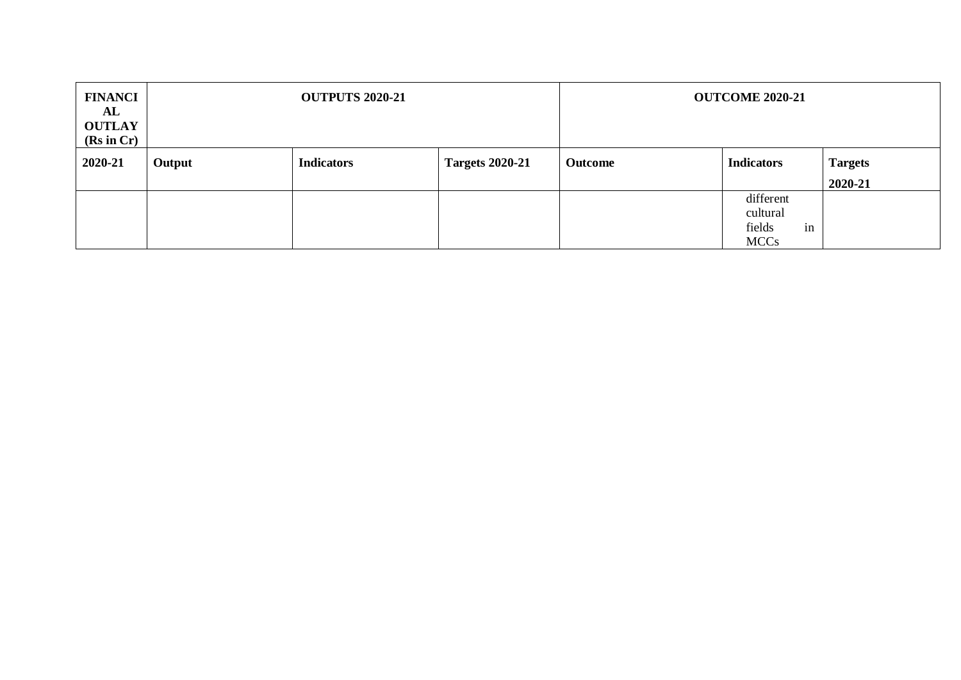| <b>FINANCI</b><br>AL<br><b>OUTLAY</b><br>(Rs in Cr) | <b>OUTPUTS 2020-21</b> |                   |                        | <b>OUTCOME 2020-21</b> |                                                      |                           |
|-----------------------------------------------------|------------------------|-------------------|------------------------|------------------------|------------------------------------------------------|---------------------------|
| 2020-21                                             | Output                 | <b>Indicators</b> | <b>Targets 2020-21</b> | <b>Outcome</b>         | <b>Indicators</b>                                    | <b>Targets</b><br>2020-21 |
|                                                     |                        |                   |                        |                        | different<br>cultural<br>in<br>fields<br><b>MCCs</b> |                           |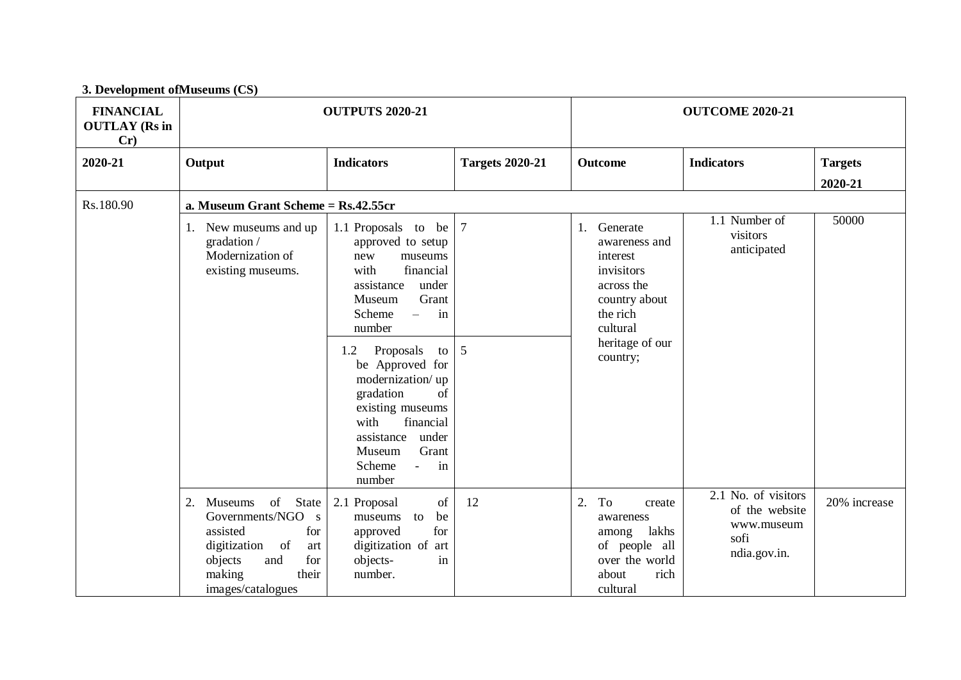| <b>FINANCIAL</b><br><b>OUTLAY</b> (Rs in<br>Cr) |                                                                                                                                                                    | <b>OUTPUTS 2020-21</b>                                                                                                                                                                                                                                                                                                                                                                  |                        | <b>OUTCOME 2020-21</b>                                                                                                                       |                                                                             |                           |  |
|-------------------------------------------------|--------------------------------------------------------------------------------------------------------------------------------------------------------------------|-----------------------------------------------------------------------------------------------------------------------------------------------------------------------------------------------------------------------------------------------------------------------------------------------------------------------------------------------------------------------------------------|------------------------|----------------------------------------------------------------------------------------------------------------------------------------------|-----------------------------------------------------------------------------|---------------------------|--|
| 2020-21                                         | Output                                                                                                                                                             | <b>Indicators</b>                                                                                                                                                                                                                                                                                                                                                                       | <b>Targets 2020-21</b> | Outcome                                                                                                                                      | <b>Indicators</b>                                                           | <b>Targets</b><br>2020-21 |  |
| Rs.180.90                                       | a. Museum Grant Scheme = Rs.42.55cr                                                                                                                                |                                                                                                                                                                                                                                                                                                                                                                                         |                        |                                                                                                                                              |                                                                             |                           |  |
|                                                 | 1. New museums and up<br>gradation /<br>Modernization of<br>existing museums.                                                                                      | 1.1 Proposals to be $ 7$<br>approved to setup<br>new<br>museums<br>financial<br>with<br>assistance<br>under<br>Grant<br>Museum<br>in<br>Scheme<br>$\equiv$<br>number<br>Proposals<br>1.2<br>to<br>be Approved for<br>modernization/up<br>gradation<br>of<br>existing museums<br>with<br>financial<br>assistance<br>under<br>Grant<br>Museum<br>in<br>Scheme<br>$\mathbb{L}^2$<br>number | 5                      | 1. Generate<br>awareness and<br>interest<br>invisitors<br>across the<br>country about<br>the rich<br>cultural<br>heritage of our<br>country; | 1.1 Number of<br>visitors<br>anticipated                                    | 50000                     |  |
|                                                 | State<br>2.<br>of<br>Museums<br>Governments/NGO s<br>assisted<br>for<br>of<br>digitization<br>art<br>objects<br>and<br>for<br>their<br>making<br>images/catalogues | of<br>2.1 Proposal<br>museums to<br>be<br>for<br>approved<br>digitization of art<br>objects-<br>in<br>number.                                                                                                                                                                                                                                                                           | 12                     | To<br>2.<br>create<br>awareness<br>lakhs<br>among<br>of people all<br>over the world<br>rich<br>about<br>cultural                            | 2.1 No. of visitors<br>of the website<br>www.museum<br>sofi<br>ndia.gov.in. | 20% increase              |  |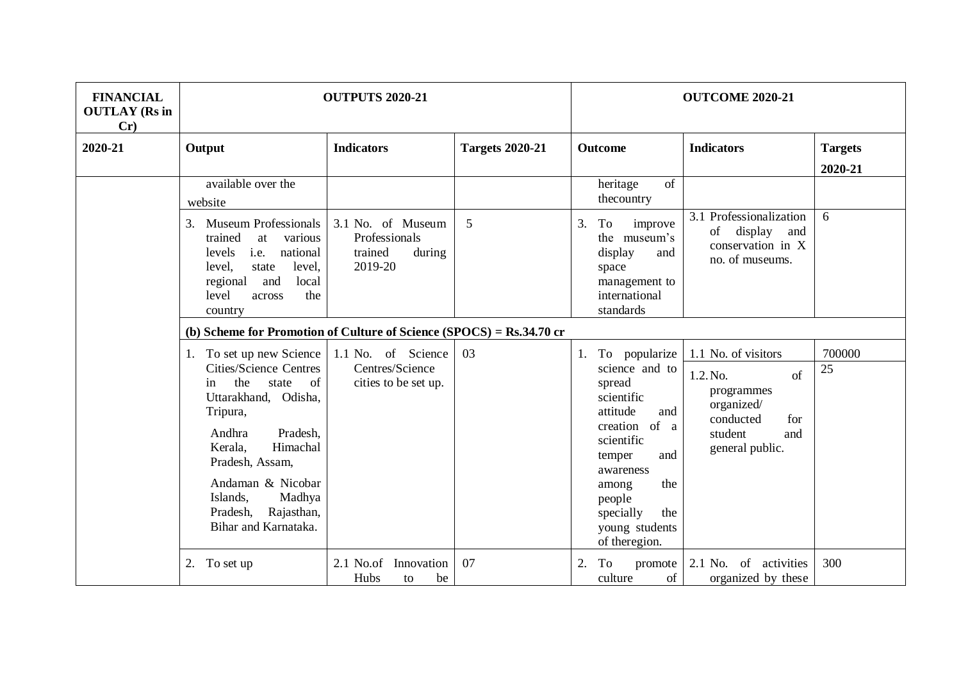| <b>FINANCIAL</b><br><b>OUTLAY</b> (Rs in<br>Cr) |                                                                                                                                                                                                                                                                                                   | <b>OUTPUTS 2020-21</b>                                             |                        |                                                                                                                                                                                                                                | <b>OUTCOME 2020-21</b>                                                                                                     |                           |  |  |
|-------------------------------------------------|---------------------------------------------------------------------------------------------------------------------------------------------------------------------------------------------------------------------------------------------------------------------------------------------------|--------------------------------------------------------------------|------------------------|--------------------------------------------------------------------------------------------------------------------------------------------------------------------------------------------------------------------------------|----------------------------------------------------------------------------------------------------------------------------|---------------------------|--|--|
| 2020-21                                         | Output                                                                                                                                                                                                                                                                                            | <b>Indicators</b>                                                  | <b>Targets 2020-21</b> | <b>Outcome</b>                                                                                                                                                                                                                 | <b>Indicators</b>                                                                                                          | <b>Targets</b><br>2020-21 |  |  |
|                                                 | available over the<br>website                                                                                                                                                                                                                                                                     |                                                                    |                        | of<br>heritage<br>thecountry                                                                                                                                                                                                   |                                                                                                                            |                           |  |  |
|                                                 | <b>Museum Professionals</b><br>3.<br>trained<br>at<br>various<br>national<br>levels<br>i.e.<br>level,<br>state<br>level,<br>local<br>regional<br>and<br>level<br>the<br>across<br>country                                                                                                         | 3.1 No. of Museum<br>Professionals<br>trained<br>during<br>2019-20 | 5                      | 3.<br>To<br>improve<br>the museum's<br>display<br>and<br>space<br>management to<br>international<br>standards                                                                                                                  | 3.1 Professionalization<br>display<br>of<br>and<br>conservation in X<br>no. of museums.                                    | 6                         |  |  |
|                                                 | (b) Scheme for Promotion of Culture of Science (SPOCS) = Rs.34.70 cr                                                                                                                                                                                                                              |                                                                    |                        |                                                                                                                                                                                                                                |                                                                                                                            |                           |  |  |
|                                                 | 1. To set up new Science<br><b>Cities/Science Centres</b><br>the<br><sub>of</sub><br>state<br>in<br>Uttarakhand, Odisha,<br>Tripura,<br>Pradesh,<br>Andhra<br>Himachal<br>Kerala,<br>Pradesh, Assam,<br>Andaman & Nicobar<br>Islands,<br>Madhya<br>Pradesh,<br>Rajasthan,<br>Bihar and Karnataka. | 1.1 No. of Science<br>Centres/Science<br>cities to be set up.      | 03                     | To popularize<br>1.<br>science and to<br>spread<br>scientific<br>attitude<br>and<br>creation of a<br>scientific<br>and<br>temper<br>awareness<br>the<br>among<br>people<br>the<br>specially<br>young students<br>of theregion. | 1.1 No. of visitors<br>1.2. No.<br>of<br>programmes<br>organized/<br>conducted<br>for<br>student<br>and<br>general public. | 700000<br>25              |  |  |
|                                                 | 2. To set up                                                                                                                                                                                                                                                                                      | 2.1 No.of<br>Innovation<br>Hubs<br>be<br>to                        | 07                     | 2.<br>To<br>promote<br>culture<br>of                                                                                                                                                                                           | 2.1 No. of activities<br>organized by these                                                                                | 300                       |  |  |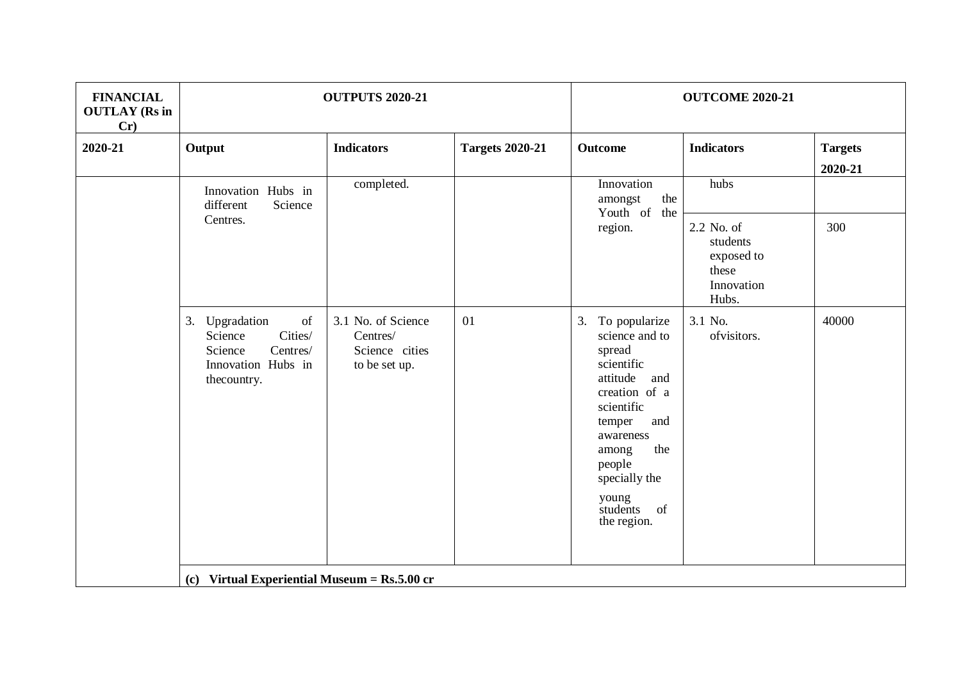| <b>FINANCIAL</b><br><b>OUTLAY</b> (Rs in<br>Cr) | <b>OUTPUTS 2020-21</b>                                                                                                                                                                                 |                                                                   |                        | <b>OUTCOME 2020-21</b>                                                                                                                                                                                                          |                                                                      |                           |  |
|-------------------------------------------------|--------------------------------------------------------------------------------------------------------------------------------------------------------------------------------------------------------|-------------------------------------------------------------------|------------------------|---------------------------------------------------------------------------------------------------------------------------------------------------------------------------------------------------------------------------------|----------------------------------------------------------------------|---------------------------|--|
| 2020-21                                         | Output                                                                                                                                                                                                 | <b>Indicators</b>                                                 | <b>Targets 2020-21</b> | <b>Outcome</b>                                                                                                                                                                                                                  | <b>Indicators</b>                                                    | <b>Targets</b><br>2020-21 |  |
|                                                 | Innovation Hubs in<br>different<br>Science                                                                                                                                                             | completed.<br>amongst<br>Youth of the<br>region.                  | Innovation<br>the      | hubs                                                                                                                                                                                                                            |                                                                      |                           |  |
|                                                 | Centres.                                                                                                                                                                                               |                                                                   |                        |                                                                                                                                                                                                                                 | 2.2 No. of<br>students<br>exposed to<br>these<br>Innovation<br>Hubs. | 300                       |  |
|                                                 | $% \left( \left( \mathcal{A},\mathcal{A}\right) \right) =\left( \mathcal{A},\mathcal{A}\right)$ of<br>3. Upgradation<br>Cities/<br>Science<br>Centres/<br>Science<br>Innovation Hubs in<br>thecountry. | 3.1 No. of Science<br>Centres/<br>Science cities<br>to be set up. | 01                     | 3.<br>To popularize<br>science and to<br>spread<br>scientific<br>attitude<br>and<br>creation of a<br>scientific<br>temper<br>and<br>awareness<br>the<br>among<br>people<br>specially the<br>young<br>students of<br>the region. | 3.1 No.<br>ofvisitors.                                               | 40000                     |  |
|                                                 | (c) Virtual Experiential Museum = $Rs.5.00$ cr                                                                                                                                                         |                                                                   |                        |                                                                                                                                                                                                                                 |                                                                      |                           |  |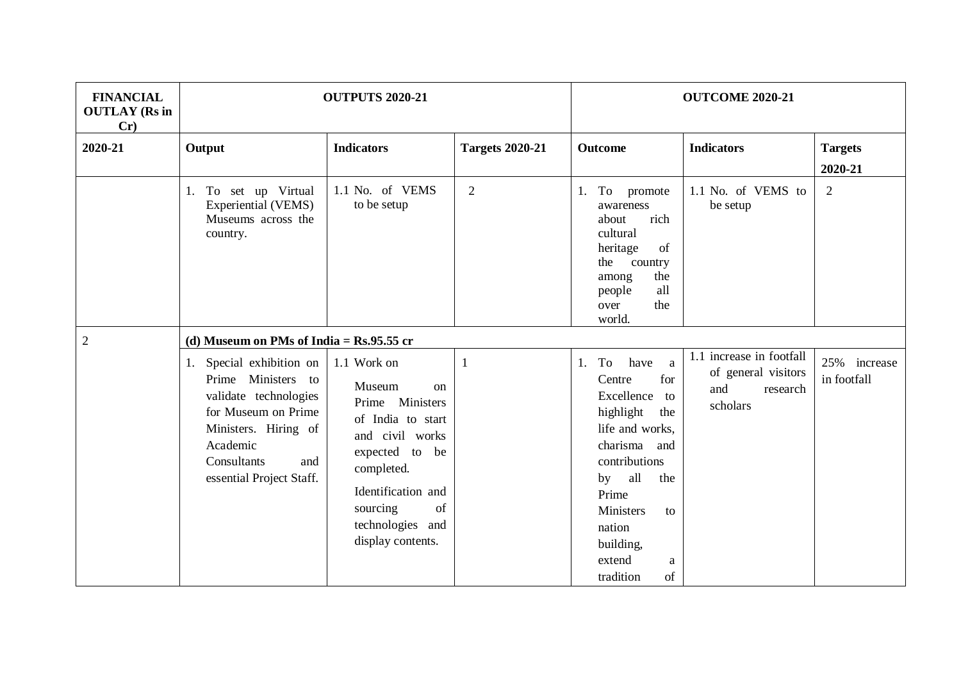| <b>FINANCIAL</b><br><b>OUTLAY</b> (Rs in<br>Cr) |                                                                                                                                                                                      | <b>OUTPUTS 2020-21</b>                                                                                                                                                                                             |                             |                                                                                                                                                                                                                                             | <b>OUTCOME 2020-21</b>                                                         |                                |  |  |
|-------------------------------------------------|--------------------------------------------------------------------------------------------------------------------------------------------------------------------------------------|--------------------------------------------------------------------------------------------------------------------------------------------------------------------------------------------------------------------|-----------------------------|---------------------------------------------------------------------------------------------------------------------------------------------------------------------------------------------------------------------------------------------|--------------------------------------------------------------------------------|--------------------------------|--|--|
| 2020-21                                         | Output<br>1. To set up Virtual<br>Experiential (VEMS)<br>Museums across the<br>country.                                                                                              | <b>Indicators</b><br>1.1 No. of VEMS<br>to be setup                                                                                                                                                                | <b>Targets 2020-21</b><br>2 | <b>Outcome</b><br>1. To promote<br>awareness<br>rich<br>about<br>cultural<br>of<br>heritage<br>the country<br>the                                                                                                                           | <b>Indicators</b><br>1.1 No. of VEMS to<br>be setup                            | <b>Targets</b><br>2020-21<br>2 |  |  |
| $\overline{2}$                                  | (d) Museum on PMs of India = $Rs.95.55$ cr                                                                                                                                           |                                                                                                                                                                                                                    |                             | among<br>all<br>people<br>the<br>over<br>world.                                                                                                                                                                                             |                                                                                |                                |  |  |
|                                                 | 1. Special exhibition on<br>Prime Ministers to<br>validate technologies<br>for Museum on Prime<br>Ministers. Hiring of<br>Academic<br>Consultants<br>and<br>essential Project Staff. | 1.1 Work on<br>Museum<br><sub>on</sub><br>Prime Ministers<br>of India to start<br>and civil works<br>expected to be<br>completed.<br>Identification and<br>of<br>sourcing<br>technologies and<br>display contents. | $\mathbf{1}$                | To<br>have<br>1.<br>a<br>for<br>Centre<br>Excellence<br>to<br>highlight<br>the<br>life and works,<br>charisma<br>and<br>contributions<br>by all<br>the<br>Prime<br>Ministers<br>to<br>nation<br>building,<br>extend<br>a<br>tradition<br>of | 1.1 increase in footfall<br>of general visitors<br>and<br>research<br>scholars | 25% increase<br>in footfall    |  |  |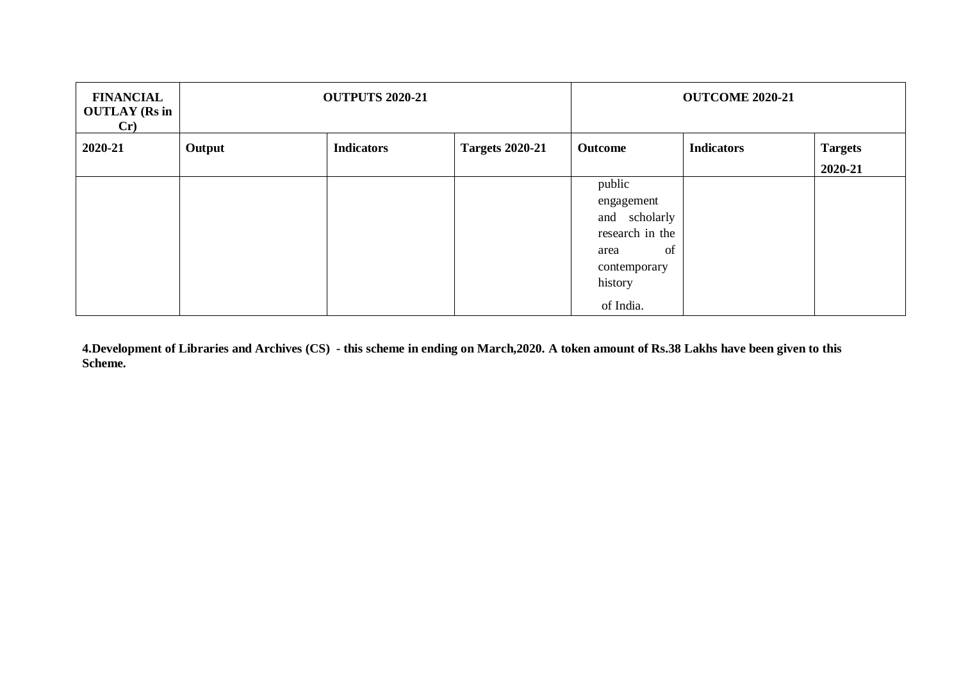| <b>FINANCIAL</b><br><b>OUTLAY</b> (Rs in<br>Cr |        | <b>OUTPUTS 2020-21</b> |                        |                 | <b>OUTCOME 2020-21</b> |                |
|------------------------------------------------|--------|------------------------|------------------------|-----------------|------------------------|----------------|
| 2020-21                                        | Output | <b>Indicators</b>      | <b>Targets 2020-21</b> | Outcome         | <b>Indicators</b>      | <b>Targets</b> |
|                                                |        |                        |                        |                 |                        | 2020-21        |
|                                                |        |                        |                        | public          |                        |                |
|                                                |        |                        |                        | engagement      |                        |                |
|                                                |        |                        |                        | and scholarly   |                        |                |
|                                                |        |                        |                        | research in the |                        |                |
|                                                |        |                        |                        | of<br>area      |                        |                |
|                                                |        |                        |                        | contemporary    |                        |                |
|                                                |        |                        |                        | history         |                        |                |
|                                                |        |                        |                        | of India.       |                        |                |

**4.Development of Libraries and Archives (CS) - this scheme in ending on March,2020. A token amount of Rs.38 Lakhs have been given to this Scheme.**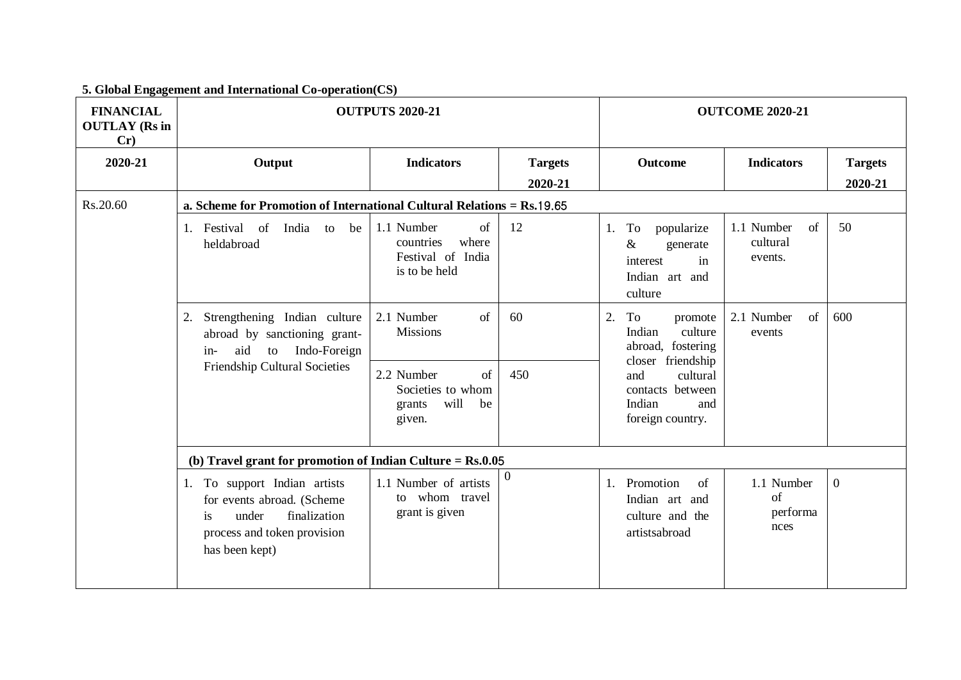| <b>FINANCIAL</b><br><b>OUTLAY</b> (Rs in<br>Cr) | <b>OUTPUTS 2020-21</b>                                                                                                                     |                                                                              |                           | <b>OUTCOME 2020-21</b>                                                                                                                                         |                                         |                           |  |
|-------------------------------------------------|--------------------------------------------------------------------------------------------------------------------------------------------|------------------------------------------------------------------------------|---------------------------|----------------------------------------------------------------------------------------------------------------------------------------------------------------|-----------------------------------------|---------------------------|--|
| 2020-21                                         | Output                                                                                                                                     | <b>Indicators</b>                                                            | <b>Targets</b><br>2020-21 | Outcome                                                                                                                                                        | <b>Indicators</b>                       | <b>Targets</b><br>2020-21 |  |
| Rs.20.60                                        | a. Scheme for Promotion of International Cultural Relations = Rs.19.65                                                                     |                                                                              |                           |                                                                                                                                                                |                                         |                           |  |
|                                                 | India to be<br>1. Festival of<br>heldabroad                                                                                                | 1.1 Number<br>of<br>countries<br>where<br>Festival of India<br>is to be held | 12                        | To<br>popularize<br>1.<br>$\&$<br>generate<br>interest<br>in<br>Indian art and<br>culture                                                                      | 1.1 Number<br>of<br>cultural<br>events. | 50                        |  |
|                                                 | 2. Strengthening Indian culture<br>abroad by sanctioning grant-<br>aid to Indo-Foreign<br>$in-$                                            | of<br>2.1 Number<br><b>Missions</b>                                          | 60                        | 2.<br>To<br>promote<br>Indian<br>culture<br>abroad, fostering<br>closer friendship<br>cultural<br>and<br>contacts between<br>Indian<br>and<br>foreign country. | 2.1 Number<br>of<br>events              | 600                       |  |
|                                                 | <b>Friendship Cultural Societies</b>                                                                                                       | 2.2 Number<br>of<br>Societies to whom<br>will<br>be<br>grants<br>given.      | 450                       |                                                                                                                                                                |                                         |                           |  |
|                                                 | (b) Travel grant for promotion of Indian Culture = $Rs.0.05$                                                                               |                                                                              |                           |                                                                                                                                                                |                                         |                           |  |
|                                                 | 1. To support Indian artists<br>for events abroad. (Scheme<br>finalization<br>under<br>is<br>process and token provision<br>has been kept) | 1.1 Number of artists<br>to whom travel<br>grant is given                    | $\overline{0}$            | 1. Promotion<br>of<br>Indian art and<br>culture and the<br>artistsabroad                                                                                       | 1.1 Number<br>of<br>performa<br>nces    | $\overline{0}$            |  |

## **5. Global Engagement and International Co-operation(CS)**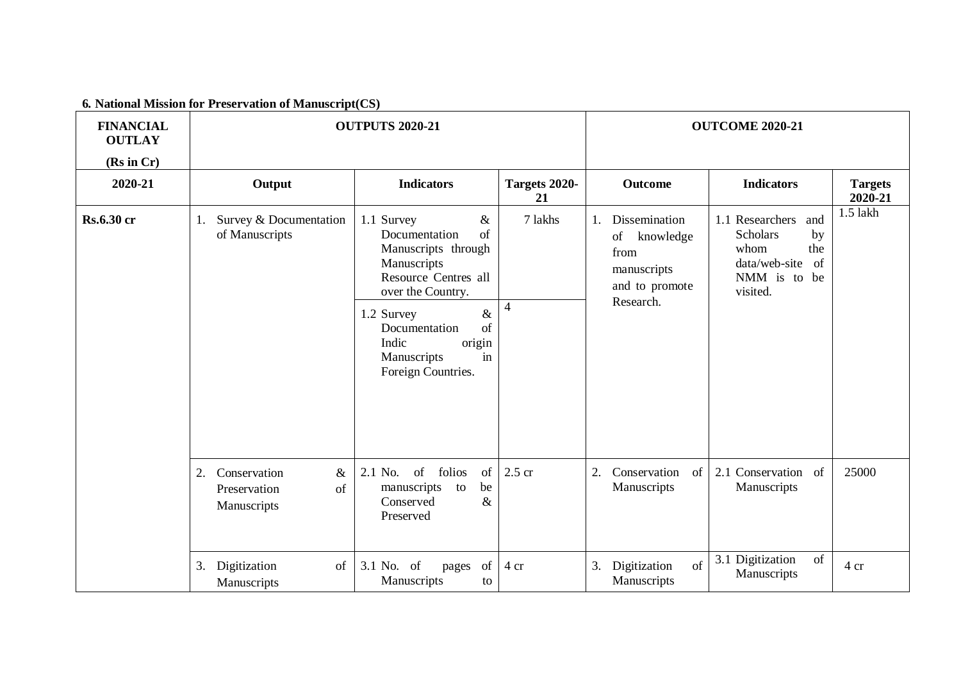**6***.* **National Mission for Preservation of Manuscript(CS)**

| <b>FINANCIAL</b><br><b>OUTLAY</b><br>(Rs in Cr) |                                                                 | <b>OUTPUTS 2020-21</b>                                                                                                                                                                                                                          |                           |                                                                                        | <b>OUTCOME 2020-21</b>                                                                                               |                           |
|-------------------------------------------------|-----------------------------------------------------------------|-------------------------------------------------------------------------------------------------------------------------------------------------------------------------------------------------------------------------------------------------|---------------------------|----------------------------------------------------------------------------------------|----------------------------------------------------------------------------------------------------------------------|---------------------------|
| 2020-21                                         | Output                                                          | <b>Indicators</b>                                                                                                                                                                                                                               | Targets 2020-<br>21       | <b>Outcome</b>                                                                         | <b>Indicators</b>                                                                                                    | <b>Targets</b><br>2020-21 |
| <b>Rs.6.30 cr</b>                               | Survey & Documentation<br>1.<br>of Manuscripts                  | 1.1 Survey<br>$\&$<br>Documentation<br>$\sigma$ f<br>Manuscripts through<br>Manuscripts<br>Resource Centres all<br>over the Country.<br>1.2 Survey<br>$\&$<br>of<br>Documentation<br>Indic<br>origin<br>Manuscripts<br>in<br>Foreign Countries. | 7 lakhs<br>$\overline{4}$ | Dissemination<br>of<br>knowledge<br>from<br>manuscripts<br>and to promote<br>Research. | 1.1 Researchers<br>and<br><b>Scholars</b><br>by<br>whom<br>the<br>data/web-site<br>of<br>NMM is to<br>be<br>visited. | $1.5$ lakh                |
|                                                 | 2.<br>Conservation<br>$\&$<br>Preservation<br>of<br>Manuscripts | of<br>folios<br>2.1 No.<br>of<br>manuscripts to<br>be<br>Conserved<br>&<br>Preserved                                                                                                                                                            | $2.5$ cr                  | Conservation<br>$\overline{2}$<br>of<br>Manuscripts                                    | 2.1 Conservation of<br>Manuscripts                                                                                   | 25000                     |
|                                                 | 3.<br>Digitization<br>of<br>Manuscripts                         | 3.1 No. of<br>of<br>pages<br>Manuscripts<br>to                                                                                                                                                                                                  | 4 cr                      | Digitization<br>of<br>3.<br>Manuscripts                                                | 3.1 Digitization<br>of<br>Manuscripts                                                                                | 4 cr                      |